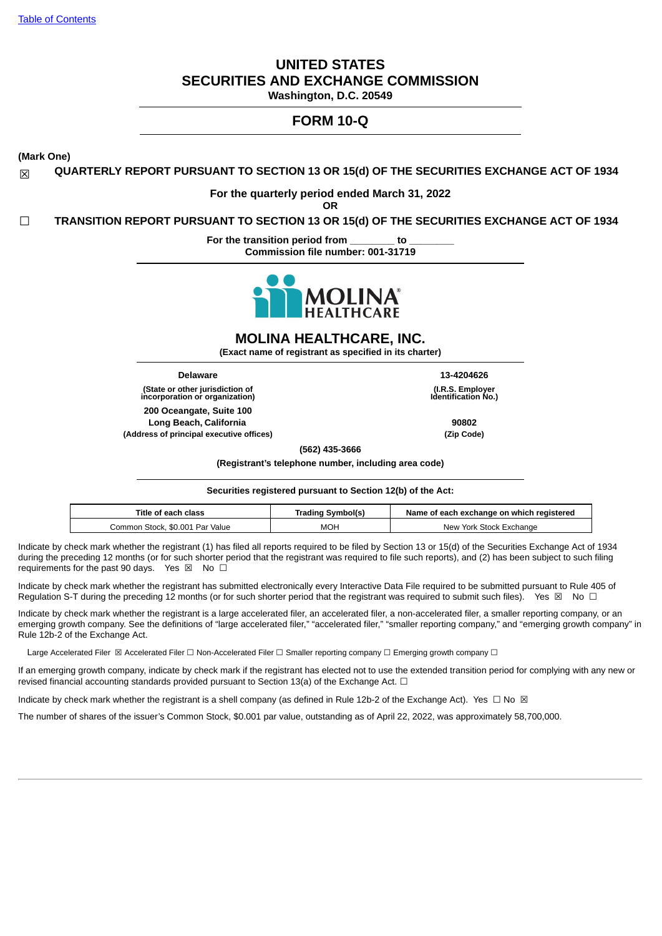# **UNITED STATES SECURITIES AND EXCHANGE COMMISSION**

**Washington, D.C. 20549**

# **FORM 10-Q**

**(Mark One)**

☒ **QUARTERLY REPORT PURSUANT TO SECTION 13 OR 15(d) OF THE SECURITIES EXCHANGE ACT OF 1934**

# **For the quarterly period ended March 31, 2022**

**OR**

☐ **TRANSITION REPORT PURSUANT TO SECTION 13 OR 15(d) OF THE SECURITIES EXCHANGE ACT OF 1934**

**For the transition period from \_\_\_\_\_\_\_\_ to \_\_\_\_\_\_\_\_ Commission file number: 001-31719**



**MOLINA HEALTHCARE, INC.**

**(Exact name of registrant as specified in its charter)**

**(State or other jurisdiction of incorporation or organization) 200 Oceangate, Suite 100 Long Beach, California 90802 (Address of principal executive offices) (Zip Code)**

**Delaware 13-4204626 (I.R.S. Employer Identification No.)**

**(562) 435-3666**

**(Registrant's telephone number, including area code)**

**Securities registered pursuant to Section 12(b) of the Act:**

| Title of each class             | Trading Symbol(s) | Name of each exchange on which registered |
|---------------------------------|-------------------|-------------------------------------------|
| Common Stock. \$0.001 Par Value | <b>MOH</b>        | New York Stock Exchange                   |

Indicate by check mark whether the registrant (1) has filed all reports required to be filed by Section 13 or 15(d) of the Securities Exchange Act of 1934 during the preceding 12 months (or for such shorter period that the registrant was required to file such reports), and (2) has been subject to such filing requirements for the past 90 days. Yes  $\boxtimes$  No  $\Box$ 

Indicate by check mark whether the registrant has submitted electronically every Interactive Data File required to be submitted pursuant to Rule 405 of Regulation S-T during the preceding 12 months (or for such shorter period that the registrant was required to submit such files). Yes  $\boxtimes$  No  $\Box$ 

Indicate by check mark whether the registrant is a large accelerated filer, an accelerated filer, a non-accelerated filer, a smaller reporting company, or an emerging growth company. See the definitions of "large accelerated filer," "accelerated filer," "smaller reporting company," and "emerging growth company" in Rule 12b-2 of the Exchange Act.

Large Accelerated Filer ⊠ Accelerated Filer □ Non-Accelerated Filer □ Smaller reporting company □ Emerging growth company □

If an emerging growth company, indicate by check mark if the registrant has elected not to use the extended transition period for complying with any new or revised financial accounting standards provided pursuant to Section 13(a) of the Exchange Act.  $\Box$ 

Indicate by check mark whether the registrant is a shell company (as defined in Rule 12b-2 of the Exchange Act). Yes  $\Box$  No  $\boxtimes$ 

<span id="page-0-0"></span>The number of shares of the issuer's Common Stock, \$0.001 par value, outstanding as of April 22, 2022, was approximately 58,700,000.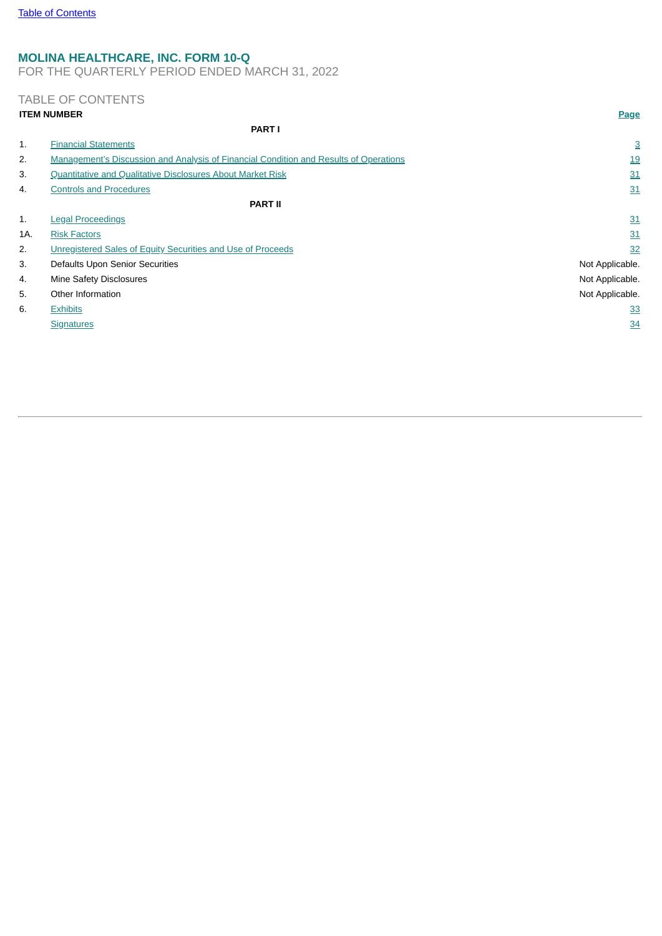# **MOLINA HEALTHCARE, INC. FORM 10-Q**

FOR THE QUARTERLY PERIOD ENDED MARCH 31, 2022

# TABLE OF CONTENTS

<span id="page-1-0"></span>

|     | <b>ITEM NUMBER</b>                                                                    | Page            |
|-----|---------------------------------------------------------------------------------------|-----------------|
|     | <b>PART I</b>                                                                         |                 |
| 1.  | <b>Financial Statements</b>                                                           | 3               |
| 2.  | Management's Discussion and Analysis of Financial Condition and Results of Operations | <u>19</u>       |
| 3.  | Quantitative and Qualitative Disclosures About Market Risk                            | 31              |
| 4.  | <b>Controls and Procedures</b>                                                        | 31              |
|     | <b>PART II</b>                                                                        |                 |
| 1.  | <b>Legal Proceedings</b>                                                              | 31              |
| 1A. | <b>Risk Factors</b>                                                                   | 31              |
| 2.  | Unregistered Sales of Equity Securities and Use of Proceeds                           | 32              |
| 3.  | Defaults Upon Senior Securities                                                       | Not Applicable. |
| 4.  | Mine Safety Disclosures                                                               | Not Applicable. |
| 5.  | Other Information                                                                     | Not Applicable. |
| 6.  | <b>Exhibits</b>                                                                       | 33              |
|     | <b>Signatures</b>                                                                     | 34              |
|     |                                                                                       |                 |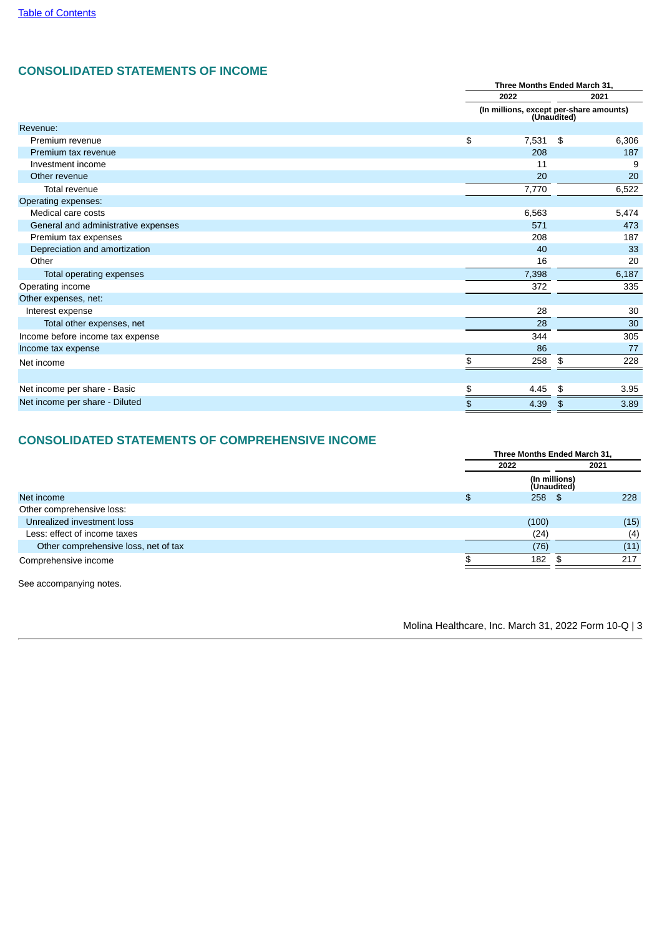# **CONSOLIDATED STATEMENTS OF INCOME**

|                                     |       | Three Months Ended March 31, |                                                        |  |  |
|-------------------------------------|-------|------------------------------|--------------------------------------------------------|--|--|
|                                     | 2022  |                              | 2021                                                   |  |  |
|                                     |       |                              | (In millions, except per-share amounts)<br>(Unaudited) |  |  |
| Revenue:                            |       |                              |                                                        |  |  |
| Premium revenue                     | \$    | $7,531$ \$                   | 6,306                                                  |  |  |
| Premium tax revenue                 |       | 208                          | 187                                                    |  |  |
| Investment income                   |       | 11                           | 9                                                      |  |  |
| Other revenue                       |       | 20                           | 20                                                     |  |  |
| Total revenue                       | 7,770 |                              | 6,522                                                  |  |  |
| Operating expenses:                 |       |                              |                                                        |  |  |
| Medical care costs                  | 6,563 |                              | 5,474                                                  |  |  |
| General and administrative expenses |       | 571                          | 473                                                    |  |  |
| Premium tax expenses                |       | 208                          | 187                                                    |  |  |
| Depreciation and amortization       |       | 40                           | 33                                                     |  |  |
| Other                               |       | 16                           | 20                                                     |  |  |
| Total operating expenses            | 7,398 |                              | 6,187                                                  |  |  |
| Operating income                    |       | 372                          | 335                                                    |  |  |
| Other expenses, net:                |       |                              |                                                        |  |  |
| Interest expense                    |       | 28                           | 30                                                     |  |  |
| Total other expenses, net           |       | 28                           | 30                                                     |  |  |
| Income before income tax expense    |       | 344                          | 305                                                    |  |  |
| Income tax expense                  |       | 86                           | 77                                                     |  |  |
| Net income                          | \$    | 258                          | \$<br>228                                              |  |  |
|                                     |       |                              |                                                        |  |  |
| Net income per share - Basic        | \$    | 4.45                         | 3.95<br>\$                                             |  |  |
| Net income per share - Diluted      | \$    | 4.39                         | 3.89<br>\$                                             |  |  |

# **CONSOLIDATED STATEMENTS OF COMPREHENSIVE INCOME**

|                                      |       | Three Months Ended March 31, |
|--------------------------------------|-------|------------------------------|
|                                      | 2022  | 2021                         |
|                                      |       | (In millions)<br>(Unaudited) |
| Net income                           | \$    | 228<br>$258$ \$              |
| Other comprehensive loss:            |       |                              |
| Unrealized investment loss           | (100) | (15)                         |
| Less: effect of income taxes         | (24)  | (4)                          |
| Other comprehensive loss, net of tax | (76)  | (11)                         |
| Comprehensive income                 | 182   | 217                          |
|                                      |       |                              |

See accompanying notes.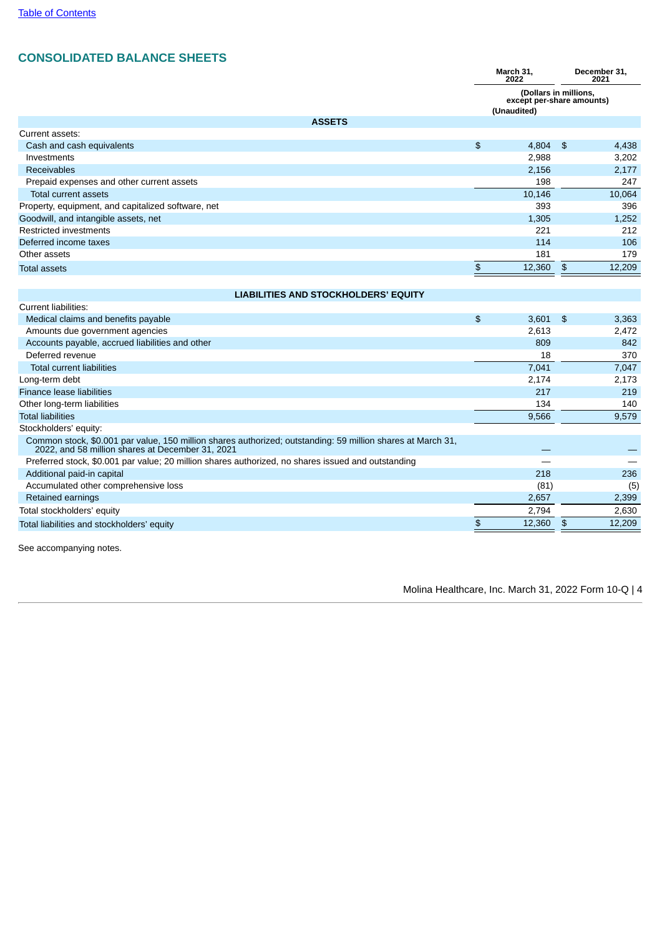# **CONSOLIDATED BALANCE SHEETS**

|                                                                                                                                                                 | March 31,<br>2022 |                                                                   |               | December 31,<br>2021 |
|-----------------------------------------------------------------------------------------------------------------------------------------------------------------|-------------------|-------------------------------------------------------------------|---------------|----------------------|
|                                                                                                                                                                 |                   | (Dollars in millions,<br>except per-share amounts)<br>(Unaudited) |               |                      |
| <b>ASSETS</b>                                                                                                                                                   |                   |                                                                   |               |                      |
| Current assets:                                                                                                                                                 |                   |                                                                   |               |                      |
| Cash and cash equivalents                                                                                                                                       | $\frac{4}{5}$     | 4,804                                                             | \$            | 4,438                |
| Investments                                                                                                                                                     |                   | 2,988                                                             |               | 3,202                |
| <b>Receivables</b>                                                                                                                                              |                   | 2,156                                                             |               | 2,177                |
| Prepaid expenses and other current assets                                                                                                                       |                   | 198                                                               |               | 247                  |
| Total current assets                                                                                                                                            |                   | 10,146                                                            |               | 10,064               |
| Property, equipment, and capitalized software, net                                                                                                              |                   | 393                                                               |               | 396                  |
| Goodwill, and intangible assets, net                                                                                                                            |                   | 1,305                                                             |               | 1,252                |
| Restricted investments                                                                                                                                          |                   | 221                                                               |               | 212                  |
| Deferred income taxes                                                                                                                                           |                   | 114                                                               |               | 106                  |
| Other assets                                                                                                                                                    |                   | 181                                                               |               | 179                  |
| <b>Total assets</b>                                                                                                                                             | $\frac{4}{5}$     | 12,360                                                            | \$            | 12,209               |
|                                                                                                                                                                 |                   |                                                                   |               |                      |
| <b>LIABILITIES AND STOCKHOLDERS' EQUITY</b>                                                                                                                     |                   |                                                                   |               |                      |
| Current liabilities:                                                                                                                                            |                   |                                                                   |               |                      |
| Medical claims and benefits payable                                                                                                                             | $\frac{4}{5}$     | 3,601                                                             | \$            | 3,363                |
| Amounts due government agencies                                                                                                                                 |                   | 2,613                                                             |               | 2,472                |
| Accounts payable, accrued liabilities and other                                                                                                                 |                   | 809                                                               |               | 842                  |
| Deferred revenue                                                                                                                                                |                   | 18                                                                |               | 370                  |
| <b>Total current liabilities</b>                                                                                                                                |                   | 7,041                                                             |               | 7,047                |
| Long-term debt                                                                                                                                                  |                   | 2,174                                                             |               | 2,173                |
| Finance lease liabilities                                                                                                                                       |                   | 217                                                               |               | 219                  |
| Other long-term liabilities                                                                                                                                     |                   | 134                                                               |               | 140                  |
| <b>Total liabilities</b>                                                                                                                                        |                   | 9,566                                                             |               | 9,579                |
| Stockholders' equity:                                                                                                                                           |                   |                                                                   |               |                      |
| Common stock, \$0.001 par value, 150 million shares authorized; outstanding: 59 million shares at March 31,<br>2022, and 58 million shares at December 31, 2021 |                   |                                                                   |               |                      |
| Preferred stock, \$0.001 par value; 20 million shares authorized, no shares issued and outstanding                                                              |                   |                                                                   |               |                      |
| Additional paid-in capital                                                                                                                                      |                   | 218                                                               |               | 236                  |
| Accumulated other comprehensive loss                                                                                                                            |                   | (81)                                                              |               | (5)                  |
| Retained earnings                                                                                                                                               |                   | 2,657                                                             |               | 2,399                |
| Total stockholders' equity                                                                                                                                      |                   | 2.794                                                             |               | 2,630                |
| Total liabilities and stockholders' equity                                                                                                                      | \$                | 12,360                                                            | $\frac{3}{2}$ | 12,209               |
|                                                                                                                                                                 |                   |                                                                   |               |                      |

See accompanying notes.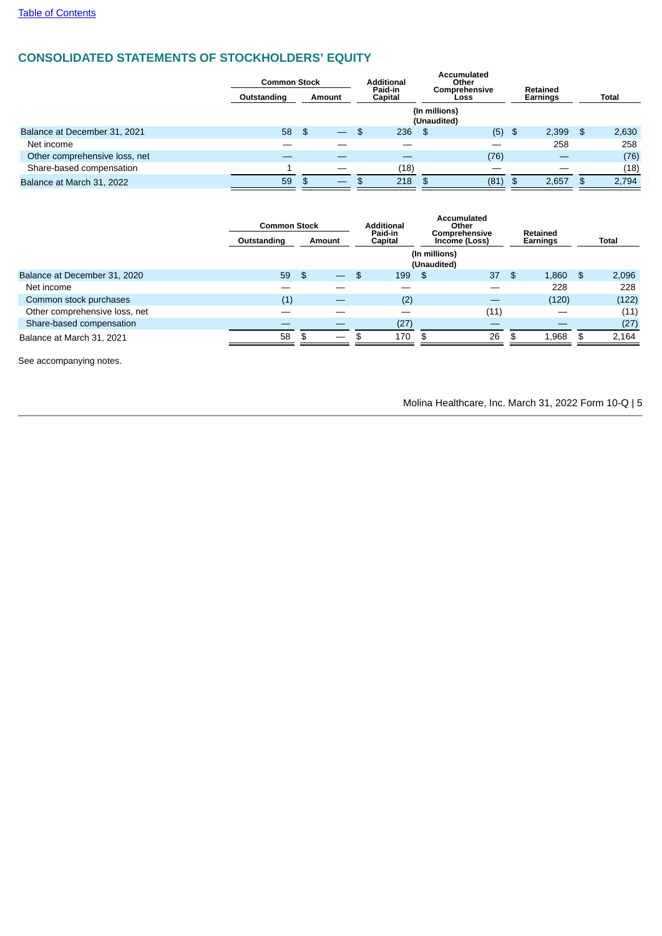# **CONSOLIDATED STATEMENTS OF STOCKHOLDERS' EQUITY**

|                               | <b>Common Stock</b> |    |  | <b>Additional</b> |        | <b>Accumulated</b><br>Other  |                    |                              |       |                                    |       |  |  |  |  |  |  |  |  |  |  |  |  |  |              |
|-------------------------------|---------------------|----|--|-------------------|--------|------------------------------|--------------------|------------------------------|-------|------------------------------------|-------|--|--|--|--|--|--|--|--|--|--|--|--|--|--------------|
|                               | Outstanding         |    |  |                   | Amount |                              | Paid-in<br>Capital | <b>Comprehensive</b><br>Loss |       | <b>Retained</b><br><b>Earnings</b> |       |  |  |  |  |  |  |  |  |  |  |  |  |  | <b>Total</b> |
|                               |                     |    |  |                   |        | (In millions)<br>(Unaudited) |                    |                              |       |                                    |       |  |  |  |  |  |  |  |  |  |  |  |  |  |              |
| Balance at December 31, 2021  | 58                  | \$ |  | -SS               | 236    | - \$                         | (5)                | \$                           | 2,399 | -\$                                | 2,630 |  |  |  |  |  |  |  |  |  |  |  |  |  |              |
| Net income                    |                     |    |  |                   |        |                              |                    |                              | 258   |                                    | 258   |  |  |  |  |  |  |  |  |  |  |  |  |  |              |
| Other comprehensive loss, net |                     |    |  |                   |        |                              | (76)               |                              | —     |                                    | (76)  |  |  |  |  |  |  |  |  |  |  |  |  |  |              |
| Share-based compensation      |                     |    |  |                   | (18)   |                              |                    |                              |       |                                    | (18)  |  |  |  |  |  |  |  |  |  |  |  |  |  |              |
| Balance at March 31, 2022     | 59                  | \$ |  |                   | 218    | \$                           | (81)               | \$                           | 2.657 | -SS                                | 2,794 |  |  |  |  |  |  |  |  |  |  |  |  |  |              |

|                               | <b>Common Stock</b> |              |  | <b>Additional</b>                                    |      | <b>Accumulated</b><br>Other  |      |    |       |      |       |
|-------------------------------|---------------------|--------------|--|------------------------------------------------------|------|------------------------------|------|----|-------|------|-------|
|                               | Outstanding         | Amount       |  | Paid-in<br>Comprehensive<br>Capital<br>Income (Loss) |      | Retained<br>Earnings         |      |    | Total |      |       |
|                               |                     |              |  |                                                      |      | (In millions)<br>(Unaudited) |      |    |       |      |       |
| Balance at December 31, 2020  | 59                  | $\mathbf{F}$ |  | \$.                                                  | 199  | - \$                         | 37   | \$ | 1,860 | - \$ | 2,096 |
| Net income                    |                     |              |  |                                                      |      |                              |      |    | 228   |      | 228   |
| Common stock purchases        | (1)                 |              |  |                                                      | (2)  |                              |      |    | (120) |      | (122) |
| Other comprehensive loss, net |                     |              |  |                                                      |      |                              | (11) |    |       |      | (11)  |
| Share-based compensation      |                     |              |  |                                                      | (27) |                              |      |    |       |      | (27)  |
| Balance at March 31, 2021     | 58                  |              |  |                                                      | 170  | \$                           | 26   | \$ | 1,968 | \$   | 2,164 |

See accompanying notes.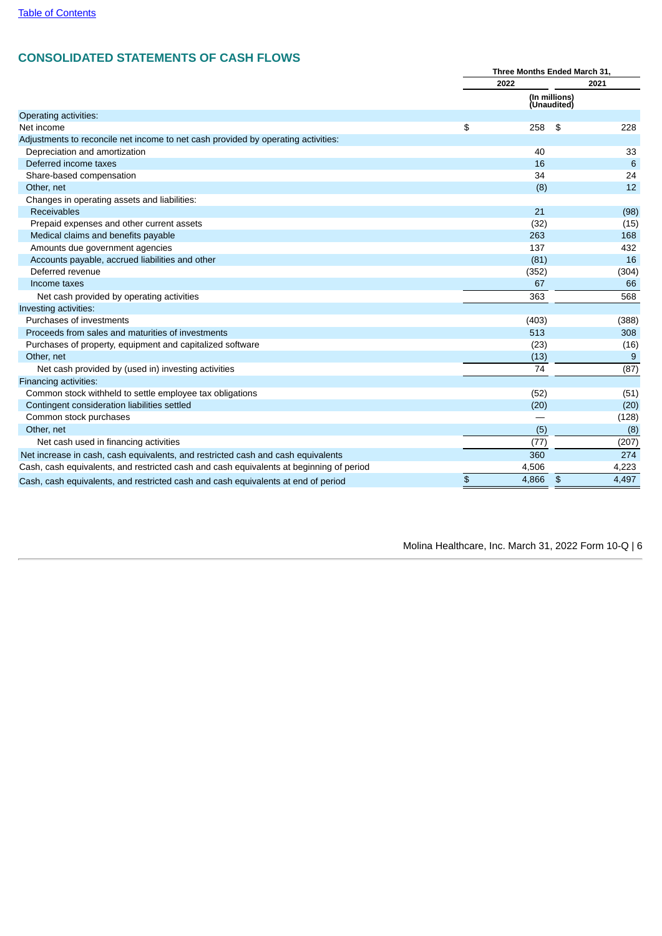# **CONSOLIDATED STATEMENTS OF CASH FLOWS**

|                                                                                         | Three Months Ended March 31, |                              |               |       |
|-----------------------------------------------------------------------------------------|------------------------------|------------------------------|---------------|-------|
|                                                                                         |                              | 2022                         |               | 2021  |
|                                                                                         |                              | (In millions)<br>(Unaudited) |               |       |
| Operating activities:                                                                   |                              |                              |               |       |
| Net income                                                                              | \$                           | 258                          | \$            | 228   |
| Adjustments to reconcile net income to net cash provided by operating activities:       |                              |                              |               |       |
| Depreciation and amortization                                                           |                              | 40                           |               | 33    |
| Deferred income taxes                                                                   |                              | 16                           |               | 6     |
| Share-based compensation                                                                |                              | 34                           |               | 24    |
| Other, net                                                                              |                              | (8)                          |               | 12    |
| Changes in operating assets and liabilities:                                            |                              |                              |               |       |
| Receivables                                                                             |                              | 21                           |               | (98)  |
| Prepaid expenses and other current assets                                               |                              | (32)                         |               | (15)  |
| Medical claims and benefits payable                                                     |                              | 263                          |               | 168   |
| Amounts due government agencies                                                         |                              | 137                          |               | 432   |
| Accounts payable, accrued liabilities and other                                         |                              | (81)                         |               | 16    |
| Deferred revenue                                                                        |                              | (352)                        |               | (304) |
| Income taxes                                                                            |                              | 67                           |               | 66    |
| Net cash provided by operating activities                                               |                              | 363                          |               | 568   |
| Investing activities:                                                                   |                              |                              |               |       |
| Purchases of investments                                                                |                              | (403)                        |               | (388) |
| Proceeds from sales and maturities of investments                                       |                              | 513                          |               | 308   |
| Purchases of property, equipment and capitalized software                               |                              | (23)                         |               | (16)  |
| Other, net                                                                              |                              | (13)                         |               | 9     |
| Net cash provided by (used in) investing activities                                     |                              | 74                           |               | (87)  |
| Financing activities:                                                                   |                              |                              |               |       |
| Common stock withheld to settle employee tax obligations                                |                              | (52)                         |               | (51)  |
| Contingent consideration liabilities settled                                            |                              | (20)                         |               | (20)  |
| Common stock purchases                                                                  |                              |                              |               | (128) |
| Other, net                                                                              |                              | (5)                          |               | (8)   |
| Net cash used in financing activities                                                   |                              | (77)                         |               | (207) |
| Net increase in cash, cash equivalents, and restricted cash and cash equivalents        |                              | 360                          |               | 274   |
| Cash, cash equivalents, and restricted cash and cash equivalents at beginning of period |                              | 4,506                        |               | 4,223 |
| Cash, cash equivalents, and restricted cash and cash equivalents at end of period       | \$                           | 4,866                        | $\frac{1}{2}$ | 4,497 |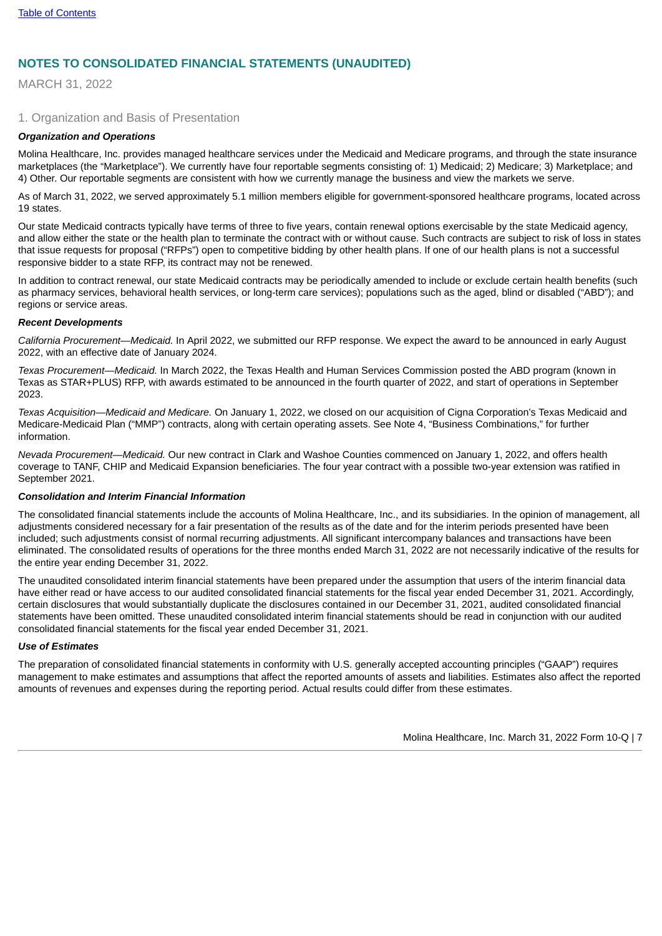# **NOTES TO CONSOLIDATED FINANCIAL STATEMENTS (UNAUDITED)**

MARCH 31, 2022

## 1. Organization and Basis of Presentation

#### *Organization and Operations*

Molina Healthcare, Inc. provides managed healthcare services under the Medicaid and Medicare programs, and through the state insurance marketplaces (the "Marketplace"). We currently have four reportable segments consisting of: 1) Medicaid; 2) Medicare; 3) Marketplace; and 4) Other. Our reportable segments are consistent with how we currently manage the business and view the markets we serve.

As of March 31, 2022, we served approximately 5.1 million members eligible for government-sponsored healthcare programs, located across 19 states.

Our state Medicaid contracts typically have terms of three to five years, contain renewal options exercisable by the state Medicaid agency, and allow either the state or the health plan to terminate the contract with or without cause. Such contracts are subject to risk of loss in states that issue requests for proposal ("RFPs") open to competitive bidding by other health plans. If one of our health plans is not a successful responsive bidder to a state RFP, its contract may not be renewed.

In addition to contract renewal, our state Medicaid contracts may be periodically amended to include or exclude certain health benefits (such as pharmacy services, behavioral health services, or long-term care services); populations such as the aged, blind or disabled ("ABD"); and regions or service areas.

#### *Recent Developments*

*California Procurement—Medicaid.* In April 2022, we submitted our RFP response. We expect the award to be announced in early August 2022, with an effective date of January 2024.

*Texas Procurement—Medicaid.* In March 2022, the Texas Health and Human Services Commission posted the ABD program (known in Texas as STAR+PLUS) RFP, with awards estimated to be announced in the fourth quarter of 2022, and start of operations in September 2023.

*Texas Acquisition—Medicaid and Medicare.* On January 1, 2022, we closed on our acquisition of Cigna Corporation's Texas Medicaid and Medicare-Medicaid Plan ("MMP") contracts, along with certain operating assets. See Note 4, "Business Combinations," for further information.

*Nevada Procurement—Medicaid.* Our new contract in Clark and Washoe Counties commenced on January 1, 2022, and offers health coverage to TANF, CHIP and Medicaid Expansion beneficiaries. The four year contract with a possible two-year extension was ratified in September 2021.

#### *Consolidation and Interim Financial Information*

The consolidated financial statements include the accounts of Molina Healthcare, Inc., and its subsidiaries. In the opinion of management, all adjustments considered necessary for a fair presentation of the results as of the date and for the interim periods presented have been included; such adjustments consist of normal recurring adjustments. All significant intercompany balances and transactions have been eliminated. The consolidated results of operations for the three months ended March 31, 2022 are not necessarily indicative of the results for the entire year ending December 31, 2022.

The unaudited consolidated interim financial statements have been prepared under the assumption that users of the interim financial data have either read or have access to our audited consolidated financial statements for the fiscal year ended December 31, 2021. Accordingly, certain disclosures that would substantially duplicate the disclosures contained in our December 31, 2021, audited consolidated financial statements have been omitted. These unaudited consolidated interim financial statements should be read in conjunction with our audited consolidated financial statements for the fiscal year ended December 31, 2021.

#### *Use of Estimates*

The preparation of consolidated financial statements in conformity with U.S. generally accepted accounting principles ("GAAP") requires management to make estimates and assumptions that affect the reported amounts of assets and liabilities. Estimates also affect the reported amounts of revenues and expenses during the reporting period. Actual results could differ from these estimates.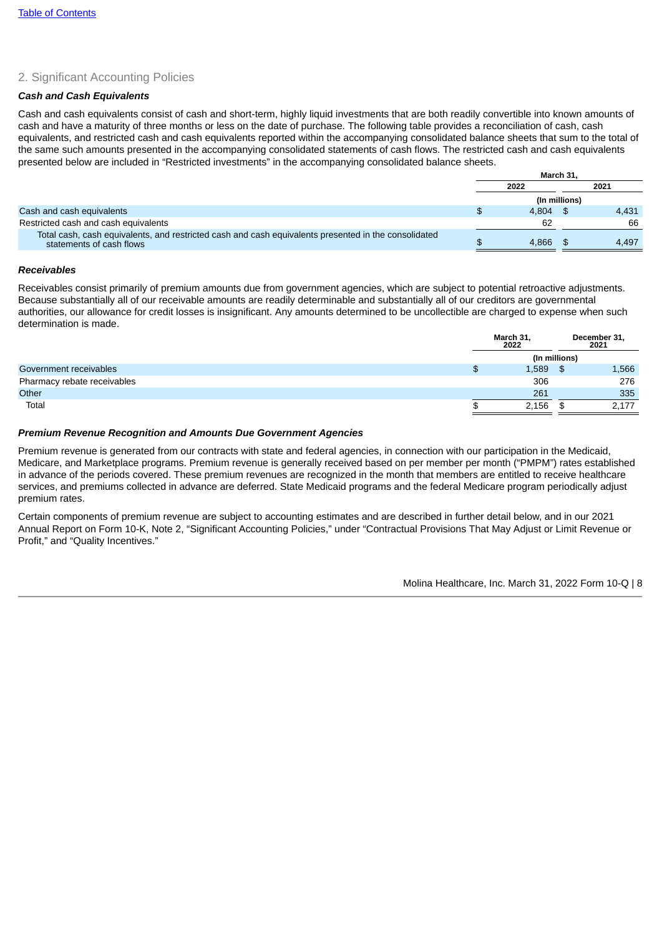# 2. Significant Accounting Policies

### *Cash and Cash Equivalents*

Cash and cash equivalents consist of cash and short-term, highly liquid investments that are both readily convertible into known amounts of cash and have a maturity of three months or less on the date of purchase. The following table provides a reconciliation of cash, cash equivalents, and restricted cash and cash equivalents reported within the accompanying consolidated balance sheets that sum to the total of the same such amounts presented in the accompanying consolidated statements of cash flows. The restricted cash and cash equivalents presented below are included in "Restricted investments" in the accompanying consolidated balance sheets.

|                                                                                                                                  | March 31.     |  |       |  |
|----------------------------------------------------------------------------------------------------------------------------------|---------------|--|-------|--|
|                                                                                                                                  | 2022          |  | 2021  |  |
|                                                                                                                                  | (In millions) |  |       |  |
| Cash and cash equivalents                                                                                                        | 4.804         |  | 4.431 |  |
| Restricted cash and cash equivalents                                                                                             | 62            |  | 66    |  |
| Total cash, cash equivalents, and restricted cash and cash equivalents presented in the consolidated<br>statements of cash flows | 4.866         |  | 4.497 |  |
|                                                                                                                                  |               |  |       |  |

### *Receivables*

Receivables consist primarily of premium amounts due from government agencies, which are subject to potential retroactive adjustments. Because substantially all of our receivable amounts are readily determinable and substantially all of our creditors are governmental authorities, our allowance for credit losses is insignificant. Any amounts determined to be uncollectible are charged to expense when such determination is made.

|                             | March 31,<br>2022 |    | December 31,<br>2021 |
|-----------------------------|-------------------|----|----------------------|
|                             | (In millions)     |    |                      |
| Government receivables      | 1,589             | \$ | 1,566                |
| Pharmacy rebate receivables | 306               |    | 276                  |
| Other                       | 261               |    | 335                  |
| Total                       | 2,156             | \$ | 2,177                |

### *Premium Revenue Recognition and Amounts Due Government Agencies*

Premium revenue is generated from our contracts with state and federal agencies, in connection with our participation in the Medicaid, Medicare, and Marketplace programs. Premium revenue is generally received based on per member per month ("PMPM") rates established in advance of the periods covered. These premium revenues are recognized in the month that members are entitled to receive healthcare services, and premiums collected in advance are deferred. State Medicaid programs and the federal Medicare program periodically adjust premium rates.

Certain components of premium revenue are subject to accounting estimates and are described in further detail below, and in our 2021 Annual Report on Form 10-K, Note 2, "Significant Accounting Policies," under "Contractual Provisions That May Adjust or Limit Revenue or Profit," and "Quality Incentives."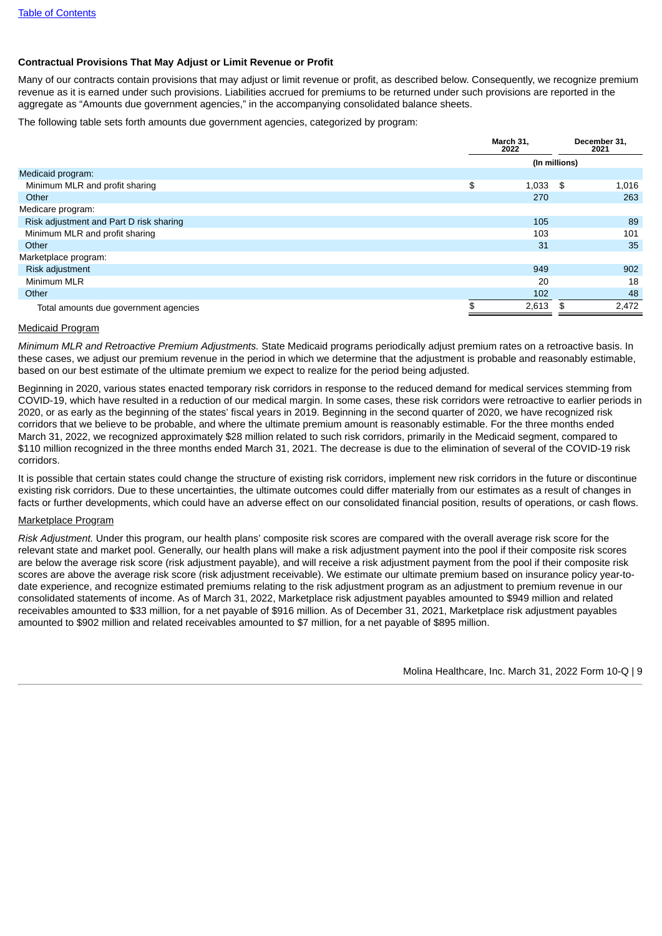### **Contractual Provisions That May Adjust or Limit Revenue or Profit**

Many of our contracts contain provisions that may adjust or limit revenue or profit, as described below. Consequently, we recognize premium revenue as it is earned under such provisions. Liabilities accrued for premiums to be returned under such provisions are reported in the aggregate as "Amounts due government agencies," in the accompanying consolidated balance sheets.

The following table sets forth amounts due government agencies, categorized by program:

|                                            | March 31.<br>2022 | December 31,<br>2021 |
|--------------------------------------------|-------------------|----------------------|
|                                            |                   | (In millions)        |
| Medicaid program:                          |                   |                      |
| \$<br>Minimum MLR and profit sharing       | 1,033             | 1,016<br>- \$        |
| Other                                      | 270               | 263                  |
| Medicare program:                          |                   |                      |
| Risk adjustment and Part D risk sharing    | 105               | 89                   |
| Minimum MLR and profit sharing             | 103               | 101                  |
| Other                                      | 31                | 35                   |
| Marketplace program:                       |                   |                      |
| Risk adjustment                            | 949               | 902                  |
| Minimum MLR                                | 20                | 18                   |
| Other                                      | 102               | 48                   |
| ፍ<br>Total amounts due government agencies | 2,613             | 2,472<br>\$          |

#### Medicaid Program

*Minimum MLR and Retroactive Premium Adjustments.* State Medicaid programs periodically adjust premium rates on a retroactive basis. In these cases, we adjust our premium revenue in the period in which we determine that the adjustment is probable and reasonably estimable, based on our best estimate of the ultimate premium we expect to realize for the period being adjusted.

Beginning in 2020, various states enacted temporary risk corridors in response to the reduced demand for medical services stemming from COVID-19, which have resulted in a reduction of our medical margin. In some cases, these risk corridors were retroactive to earlier periods in 2020, or as early as the beginning of the states' fiscal years in 2019. Beginning in the second quarter of 2020, we have recognized risk corridors that we believe to be probable, and where the ultimate premium amount is reasonably estimable. For the three months ended March 31, 2022, we recognized approximately \$28 million related to such risk corridors, primarily in the Medicaid segment, compared to \$110 million recognized in the three months ended March 31, 2021. The decrease is due to the elimination of several of the COVID-19 risk corridors.

It is possible that certain states could change the structure of existing risk corridors, implement new risk corridors in the future or discontinue existing risk corridors. Due to these uncertainties, the ultimate outcomes could differ materially from our estimates as a result of changes in facts or further developments, which could have an adverse effect on our consolidated financial position, results of operations, or cash flows.

### Marketplace Program

*Risk Adjustment.* Under this program, our health plans' composite risk scores are compared with the overall average risk score for the relevant state and market pool. Generally, our health plans will make a risk adjustment payment into the pool if their composite risk scores are below the average risk score (risk adjustment payable), and will receive a risk adjustment payment from the pool if their composite risk scores are above the average risk score (risk adjustment receivable). We estimate our ultimate premium based on insurance policy year-todate experience, and recognize estimated premiums relating to the risk adjustment program as an adjustment to premium revenue in our consolidated statements of income. As of March 31, 2022, Marketplace risk adjustment payables amounted to \$949 million and related receivables amounted to \$33 million, for a net payable of \$916 million. As of December 31, 2021, Marketplace risk adjustment payables amounted to \$902 million and related receivables amounted to \$7 million, for a net payable of \$895 million.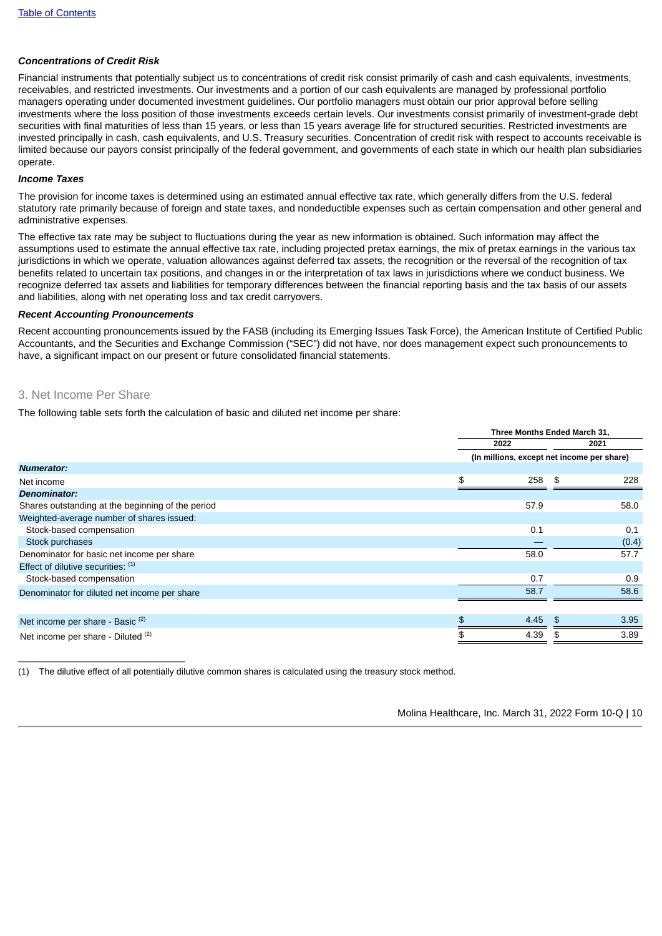# *Concentrations of Credit Risk*

Financial instruments that potentially subject us to concentrations of credit risk consist primarily of cash and cash equivalents, investments, receivables, and restricted investments. Our investments and a portion of our cash equivalents are managed by professional portfolio managers operating under documented investment guidelines. Our portfolio managers must obtain our prior approval before selling investments where the loss position of those investments exceeds certain levels. Our investments consist primarily of investment-grade debt securities with final maturities of less than 15 years, or less than 15 years average life for structured securities. Restricted investments are invested principally in cash, cash equivalents, and U.S. Treasury securities. Concentration of credit risk with respect to accounts receivable is limited because our payors consist principally of the federal government, and governments of each state in which our health plan subsidiaries operate.

## *Income Taxes*

The provision for income taxes is determined using an estimated annual effective tax rate, which generally differs from the U.S. federal statutory rate primarily because of foreign and state taxes, and nondeductible expenses such as certain compensation and other general and administrative expenses.

The effective tax rate may be subject to fluctuations during the year as new information is obtained. Such information may affect the assumptions used to estimate the annual effective tax rate, including projected pretax earnings, the mix of pretax earnings in the various tax jurisdictions in which we operate, valuation allowances against deferred tax assets, the recognition or the reversal of the recognition of tax benefits related to uncertain tax positions, and changes in or the interpretation of tax laws in jurisdictions where we conduct business. We recognize deferred tax assets and liabilities for temporary differences between the financial reporting basis and the tax basis of our assets and liabilities, along with net operating loss and tax credit carryovers.

#### *Recent Accounting Pronouncements*

Recent accounting pronouncements issued by the FASB (including its Emerging Issues Task Force), the American Institute of Certified Public Accountants, and the Securities and Exchange Commission ("SEC") did not have, nor does management expect such pronouncements to have, a significant impact on our present or future consolidated financial statements.

# 3. Net Income Per Share

\_\_\_\_\_\_\_\_\_\_\_\_\_\_\_\_\_\_\_\_\_\_\_\_\_\_\_\_\_\_

The following table sets forth the calculation of basic and diluted net income per share:

|                                                   | Three Months Ended March 31,               |      |    |       |  |
|---------------------------------------------------|--------------------------------------------|------|----|-------|--|
|                                                   |                                            | 2022 |    | 2021  |  |
|                                                   | (In millions, except net income per share) |      |    |       |  |
| <b>Numerator:</b>                                 |                                            |      |    |       |  |
| Net income                                        | \$                                         | 258  | \$ | 228   |  |
| <b>Denominator:</b>                               |                                            |      |    |       |  |
| Shares outstanding at the beginning of the period |                                            | 57.9 |    | 58.0  |  |
| Weighted-average number of shares issued:         |                                            |      |    |       |  |
| Stock-based compensation                          |                                            | 0.1  |    | 0.1   |  |
| Stock purchases                                   |                                            |      |    | (0.4) |  |
| Denominator for basic net income per share        |                                            | 58.0 |    | 57.7  |  |
| Effect of dilutive securities: (1)                |                                            |      |    |       |  |
| Stock-based compensation                          |                                            | 0.7  |    | 0.9   |  |
| Denominator for diluted net income per share      |                                            | 58.7 |    | 58.6  |  |
|                                                   |                                            |      |    |       |  |
| Net income per share - Basic <sup>(2)</sup>       |                                            | 4.45 |    | 3.95  |  |
| Net income per share - Diluted (2)                |                                            | 4.39 |    | 3.89  |  |

(1) The dilutive effect of all potentially dilutive common shares is calculated using the treasury stock method.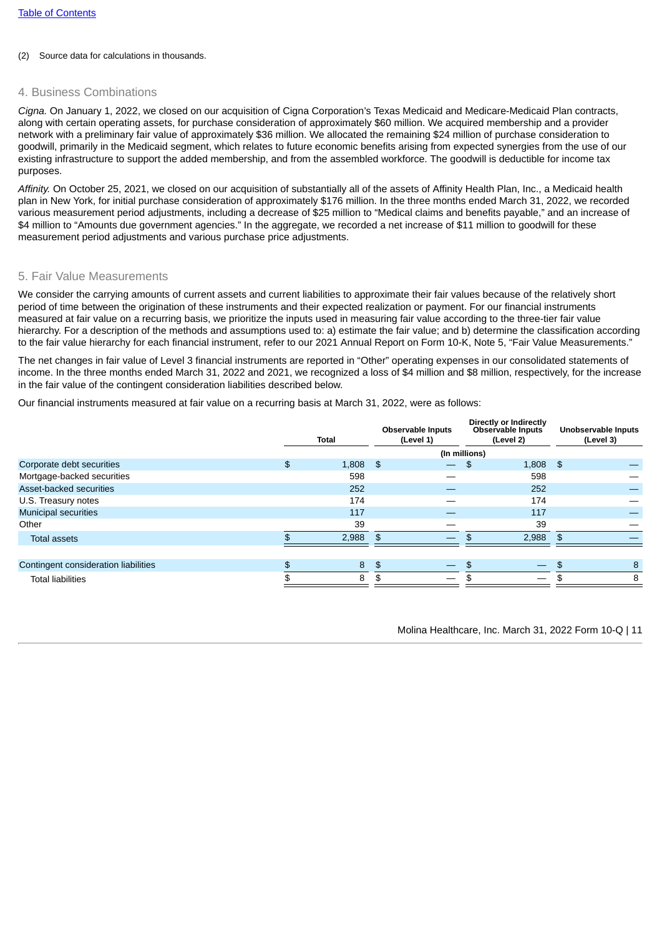### (2) Source data for calculations in thousands.

# 4. Business Combinations

*Cigna.* On January 1, 2022, we closed on our acquisition of Cigna Corporation's Texas Medicaid and Medicare-Medicaid Plan contracts, along with certain operating assets, for purchase consideration of approximately \$60 million. We acquired membership and a provider network with a preliminary fair value of approximately \$36 million. We allocated the remaining \$24 million of purchase consideration to goodwill, primarily in the Medicaid segment, which relates to future economic benefits arising from expected synergies from the use of our existing infrastructure to support the added membership, and from the assembled workforce. The goodwill is deductible for income tax purposes.

*Affinity.* On October 25, 2021, we closed on our acquisition of substantially all of the assets of Affinity Health Plan, Inc., a Medicaid health plan in New York, for initial purchase consideration of approximately \$176 million. In the three months ended March 31, 2022, we recorded various measurement period adjustments, including a decrease of \$25 million to "Medical claims and benefits payable," and an increase of \$4 million to "Amounts due government agencies." In the aggregate, we recorded a net increase of \$11 million to goodwill for these measurement period adjustments and various purchase price adjustments.

## 5. Fair Value Measurements

We consider the carrying amounts of current assets and current liabilities to approximate their fair values because of the relatively short period of time between the origination of these instruments and their expected realization or payment. For our financial instruments measured at fair value on a recurring basis, we prioritize the inputs used in measuring fair value according to the three-tier fair value hierarchy. For a description of the methods and assumptions used to: a) estimate the fair value; and b) determine the classification according to the fair value hierarchy for each financial instrument, refer to our 2021 Annual Report on Form 10-K, Note 5, "Fair Value Measurements."

The net changes in fair value of Level 3 financial instruments are reported in "Other" operating expenses in our consolidated statements of income. In the three months ended March 31, 2022 and 2021, we recognized a loss of \$4 million and \$8 million, respectively, for the increase in the fair value of the contingent consideration liabilities described below.

Our financial instruments measured at fair value on a recurring basis at March 31, 2022, were as follows:

|                                      | <b>Total</b>   |            |              | <b>Observable Inputs</b><br>(Level 1) |     | Directly or Indirectly<br>Observable Inputs<br>(Level 2) | <b>Unobservable Inputs</b><br>(Level 3) |   |
|--------------------------------------|----------------|------------|--------------|---------------------------------------|-----|----------------------------------------------------------|-----------------------------------------|---|
|                                      | (In millions)  |            |              |                                       |     |                                                          |                                         |   |
| Corporate debt securities            | \$             | $1,808$ \$ |              |                                       | \$  | $1,808$ \$                                               |                                         |   |
| Mortgage-backed securities           |                | 598        |              |                                       |     | 598                                                      |                                         |   |
| Asset-backed securities              |                | 252        |              |                                       |     | 252                                                      |                                         |   |
| U.S. Treasury notes                  |                | 174        |              |                                       |     | 174                                                      |                                         |   |
| <b>Municipal securities</b>          |                | 117        |              |                                       |     | 117                                                      |                                         |   |
| Other                                |                | 39         |              |                                       |     | 39                                                       |                                         |   |
| <b>Total assets</b>                  |                | 2,988      | $\mathsf{s}$ |                                       |     | $2,988$ \$                                               |                                         |   |
|                                      |                |            |              |                                       |     |                                                          |                                         |   |
| Contingent consideration liabilities | $\mathfrak{L}$ | 8          | \$           |                                       | \$  |                                                          |                                         | 8 |
| <b>Total liabilities</b>             |                | 8          | \$           |                                       | \$. | $\overline{\phantom{0}}$                                 | \$                                      | 8 |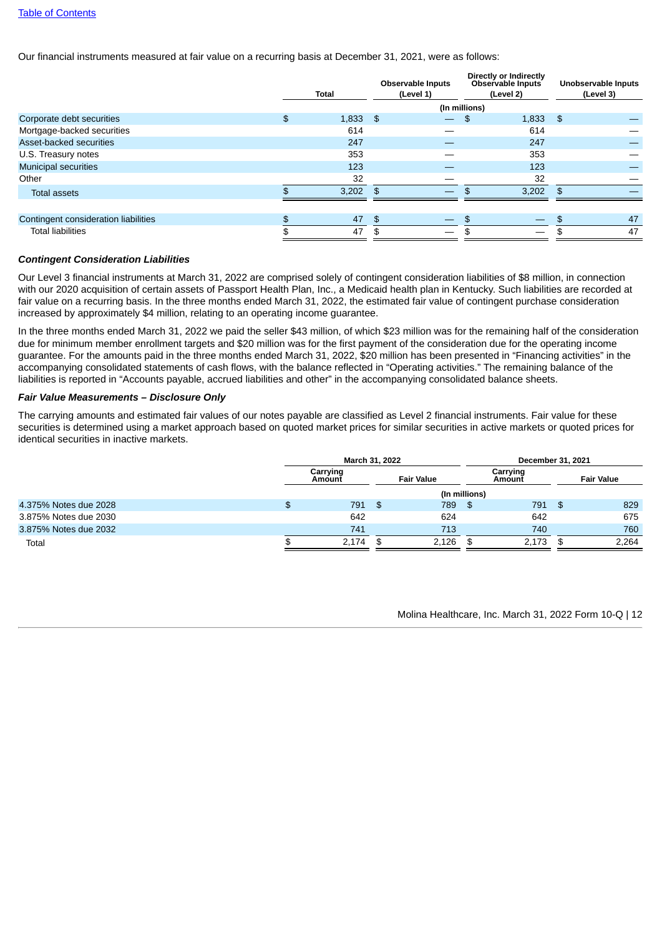Our financial instruments measured at fair value on a recurring basis at December 31, 2021, were as follows:

|                                      | <b>Total</b> |            |      | <b>Observable Inputs</b><br>(Level 1) | Directly or Indirectly<br>Observable Inputs<br>(Level 2) |       |              | <b>Unobservable Inputs</b><br>(Level 3) |
|--------------------------------------|--------------|------------|------|---------------------------------------|----------------------------------------------------------|-------|--------------|-----------------------------------------|
|                                      |              |            |      | (In millions)                         |                                                          |       |              |                                         |
| Corporate debt securities            | \$           | $1,833$ \$ |      | $\overline{\phantom{0}}$              | \$                                                       | 1,833 | -\$          |                                         |
| Mortgage-backed securities           |              | 614        |      |                                       |                                                          | 614   |              |                                         |
| Asset-backed securities              |              | 247        |      |                                       |                                                          | 247   |              |                                         |
| U.S. Treasury notes                  |              | 353        |      |                                       |                                                          | 353   |              |                                         |
| Municipal securities                 |              | 123        |      |                                       |                                                          | 123   |              |                                         |
| Other                                |              | 32         |      |                                       |                                                          | 32    |              |                                         |
| <b>Total assets</b>                  |              | 3,202      | - \$ |                                       | \$.                                                      | 3,202 | $\mathbf{f}$ |                                         |
|                                      |              |            |      |                                       |                                                          |       |              |                                         |
| Contingent consideration liabilities | \$           | 47         | \$   |                                       | \$                                                       |       |              | 47                                      |
| <b>Total liabilities</b>             |              | 47         |      |                                       |                                                          |       |              | 47                                      |

#### *Contingent Consideration Liabilities*

Our Level 3 financial instruments at March 31, 2022 are comprised solely of contingent consideration liabilities of \$8 million, in connection with our 2020 acquisition of certain assets of Passport Health Plan, Inc., a Medicaid health plan in Kentucky. Such liabilities are recorded at fair value on a recurring basis. In the three months ended March 31, 2022, the estimated fair value of contingent purchase consideration increased by approximately \$4 million, relating to an operating income guarantee.

In the three months ended March 31, 2022 we paid the seller \$43 million, of which \$23 million was for the remaining half of the consideration due for minimum member enrollment targets and \$20 million was for the first payment of the consideration due for the operating income guarantee. For the amounts paid in the three months ended March 31, 2022, \$20 million has been presented in "Financing activities" in the accompanying consolidated statements of cash flows, with the balance reflected in "Operating activities." The remaining balance of the liabilities is reported in "Accounts payable, accrued liabilities and other" in the accompanying consolidated balance sheets.

## *Fair Value Measurements – Disclosure Only*

The carrying amounts and estimated fair values of our notes payable are classified as Level 2 financial instruments. Fair value for these securities is determined using a market approach based on quoted market prices for similar securities in active markets or quoted prices for identical securities in inactive markets.

|                       | March 31, 2022     |                   |       |               | December 31, 2021  |      |                   |  |
|-----------------------|--------------------|-------------------|-------|---------------|--------------------|------|-------------------|--|
|                       | Carrying<br>Amount | <b>Fair Value</b> |       |               | Carrying<br>Amount |      | <b>Fair Value</b> |  |
|                       |                    |                   |       | (In millions) |                    |      |                   |  |
| 4.375% Notes due 2028 | \$<br>791          | $\mathbf{F}$      | 789   | - \$          | 791                | । \$ | 829               |  |
| 3.875% Notes due 2030 | 642                |                   | 624   |               | 642                |      | 675               |  |
| 3.875% Notes due 2032 | 741                |                   | 713   |               | 740                |      | 760               |  |
| Total                 | 2,174              | £.                | 2,126 |               | 2,173              |      | 2.264             |  |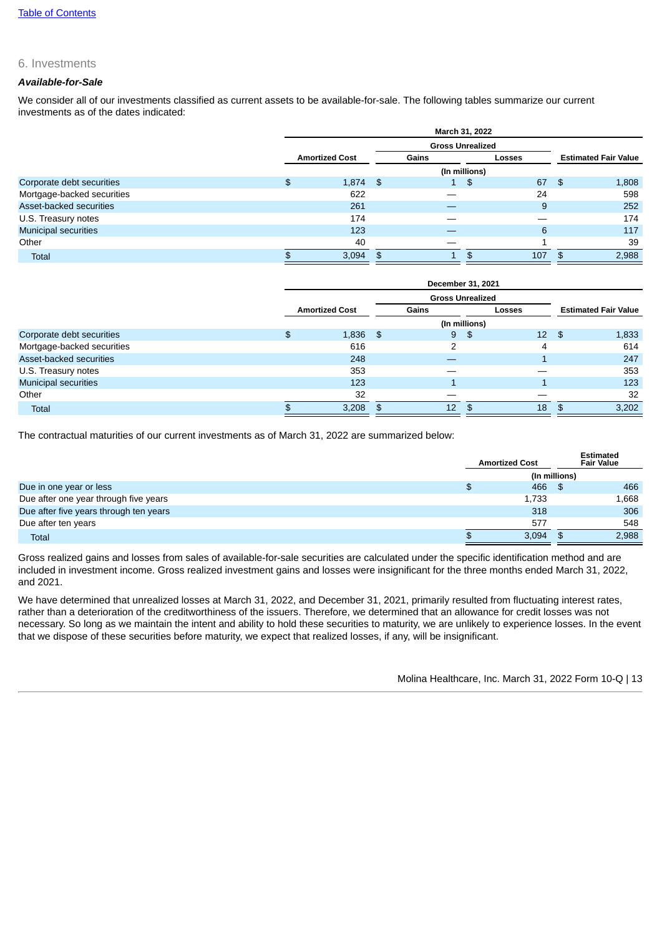## 6. Investments

## *Available-for-Sale*

We consider all of our investments classified as current assets to be available-for-sale. The following tables summarize our current investments as of the dates indicated:

|                             | March 31, 2022              |       |                              |                         |                             |  |  |  |  |
|-----------------------------|-----------------------------|-------|------------------------------|-------------------------|-----------------------------|--|--|--|--|
|                             |                             |       |                              | <b>Gross Unrealized</b> |                             |  |  |  |  |
|                             | <b>Amortized Cost</b>       | Gains |                              | Losses                  | <b>Estimated Fair Value</b> |  |  |  |  |
|                             |                             |       |                              | (In millions)           |                             |  |  |  |  |
| Corporate debt securities   | $\frac{4}{5}$<br>$1,874$ \$ |       | $1 \ \overline{\phantom{a}}$ | 67<br>\$                | 1,808<br>-\$                |  |  |  |  |
| Mortgage-backed securities  | 622                         |       |                              | 24                      | 598                         |  |  |  |  |
| Asset-backed securities     | 261                         |       |                              | 9                       | 252                         |  |  |  |  |
| U.S. Treasury notes         | 174                         |       |                              |                         | 174                         |  |  |  |  |
| <b>Municipal securities</b> | 123                         |       |                              | 6                       | 117                         |  |  |  |  |
| Other                       | 40                          |       |                              |                         | 39                          |  |  |  |  |
| <b>Total</b>                | 3,094                       | \$    |                              | 107<br>\$               | 2,988<br>\$.                |  |  |  |  |

|                             | December 31, 2021     |       |               |                 |                             |  |  |  |  |
|-----------------------------|-----------------------|-------|---------------|-----------------|-----------------------------|--|--|--|--|
|                             |                       |       |               |                 |                             |  |  |  |  |
|                             | <b>Amortized Cost</b> | Gains |               | Losses          | <b>Estimated Fair Value</b> |  |  |  |  |
|                             |                       |       | (In millions) |                 |                             |  |  |  |  |
| Corporate debt securities   | \$<br>1,836           | -\$   | 9<br>\$       | 12 <sup>2</sup> | 1,833<br>- \$               |  |  |  |  |
| Mortgage-backed securities  | 616                   |       | っ             | 4               | 614                         |  |  |  |  |
| Asset-backed securities     | 248                   |       |               |                 | 247                         |  |  |  |  |
| U.S. Treasury notes         | 353                   |       |               |                 | 353                         |  |  |  |  |
| <b>Municipal securities</b> | 123                   |       |               |                 | 123                         |  |  |  |  |
| Other                       | 32                    |       |               |                 | 32                          |  |  |  |  |
| <b>Total</b>                | 3,208                 | \$    | 12            | 18              | 3,202<br>\$.                |  |  |  |  |

The contractual maturities of our current investments as of March 31, 2022 are summarized below:

|                                        | <b>Amortized Cost</b> | <b>Estimated</b><br><b>Fair Value</b> |
|----------------------------------------|-----------------------|---------------------------------------|
|                                        |                       | (In millions)                         |
| Due in one year or less                | 466<br>\$             | 466                                   |
| Due after one year through five years  | 1,733                 | 1,668                                 |
| Due after five years through ten years | 318                   | 306                                   |
| Due after ten years                    | 577                   | 548                                   |
| <b>Total</b>                           | 3,094<br>\$           | 2,988                                 |

Gross realized gains and losses from sales of available-for-sale securities are calculated under the specific identification method and are included in investment income. Gross realized investment gains and losses were insignificant for the three months ended March 31, 2022, and 2021.

We have determined that unrealized losses at March 31, 2022, and December 31, 2021, primarily resulted from fluctuating interest rates, rather than a deterioration of the creditworthiness of the issuers. Therefore, we determined that an allowance for credit losses was not necessary. So long as we maintain the intent and ability to hold these securities to maturity, we are unlikely to experience losses. In the event that we dispose of these securities before maturity, we expect that realized losses, if any, will be insignificant.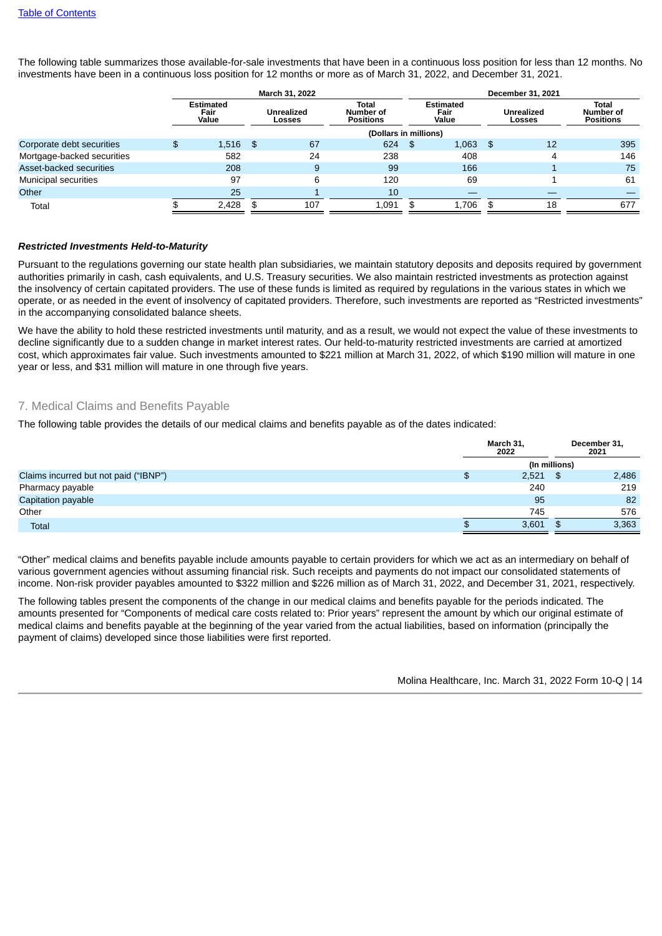The following table summarizes those available-for-sale investments that have been in a continuous loss position for less than 12 months. No investments have been in a continuous loss position for 12 months or more as of March 31, 2022, and December 31, 2021.

|                             | March 31, 2022 |                                   |                       |                             |                                        |    | December 31, 2021                 |      |                             |                                        |  |  |
|-----------------------------|----------------|-----------------------------------|-----------------------|-----------------------------|----------------------------------------|----|-----------------------------------|------|-----------------------------|----------------------------------------|--|--|
|                             |                | <b>Estimated</b><br>Fair<br>Value |                       | <b>Unrealized</b><br>Losses | Total<br>Number of<br><b>Positions</b> |    | <b>Estimated</b><br>Fair<br>Value |      | <b>Unrealized</b><br>Losses | Total<br>Number of<br><b>Positions</b> |  |  |
|                             |                |                                   | (Dollars in millions) |                             |                                        |    |                                   |      |                             |                                        |  |  |
| Corporate debt securities   | \$             | $1,516$ \$                        |                       | 67                          | 624                                    | \$ | $1,063$ \$                        |      | 12                          | 395                                    |  |  |
| Mortgage-backed securities  |                | 582                               |                       | 24                          | 238                                    |    | 408                               |      | 4                           | 146                                    |  |  |
| Asset-backed securities     |                | 208                               |                       | 9                           | 99                                     |    | 166                               |      |                             | 75                                     |  |  |
| <b>Municipal securities</b> |                | 97                                |                       | 6                           | 120                                    |    | 69                                |      |                             | 61                                     |  |  |
| Other                       |                | 25                                |                       |                             | 10                                     |    |                                   |      |                             |                                        |  |  |
| Total                       |                | 2,428                             | \$                    | 107                         | 1,091                                  | \$ | 1,706                             | - \$ | 18                          | 677                                    |  |  |

### *Restricted Investments Held-to-Maturity*

Pursuant to the regulations governing our state health plan subsidiaries, we maintain statutory deposits and deposits required by government authorities primarily in cash, cash equivalents, and U.S. Treasury securities. We also maintain restricted investments as protection against the insolvency of certain capitated providers. The use of these funds is limited as required by regulations in the various states in which we operate, or as needed in the event of insolvency of capitated providers. Therefore, such investments are reported as "Restricted investments" in the accompanying consolidated balance sheets.

We have the ability to hold these restricted investments until maturity, and as a result, we would not expect the value of these investments to decline significantly due to a sudden change in market interest rates. Our held-to-maturity restricted investments are carried at amortized cost, which approximates fair value. Such investments amounted to \$221 million at March 31, 2022, of which \$190 million will mature in one year or less, and \$31 million will mature in one through five years.

# 7. Medical Claims and Benefits Payable

The following table provides the details of our medical claims and benefits payable as of the dates indicated:

|                                       |               | March 31,<br>2022 |    | December 31,<br>2021 |  |  |
|---------------------------------------|---------------|-------------------|----|----------------------|--|--|
|                                       | (In millions) |                   |    |                      |  |  |
| Claims incurred but not paid ("IBNP") | \$            | 2,521             | \$ | 2,486                |  |  |
| Pharmacy payable                      |               | 240               |    | 219                  |  |  |
| Capitation payable                    |               | 95                |    | 82                   |  |  |
| Other                                 |               | 745               |    | 576                  |  |  |
| <b>Total</b>                          | <b>D</b>      | 3,601             |    | 3,363                |  |  |

"Other" medical claims and benefits payable include amounts payable to certain providers for which we act as an intermediary on behalf of various government agencies without assuming financial risk. Such receipts and payments do not impact our consolidated statements of income. Non-risk provider payables amounted to \$322 million and \$226 million as of March 31, 2022, and December 31, 2021, respectively.

The following tables present the components of the change in our medical claims and benefits payable for the periods indicated. The amounts presented for "Components of medical care costs related to: Prior years" represent the amount by which our original estimate of medical claims and benefits payable at the beginning of the year varied from the actual liabilities, based on information (principally the payment of claims) developed since those liabilities were first reported.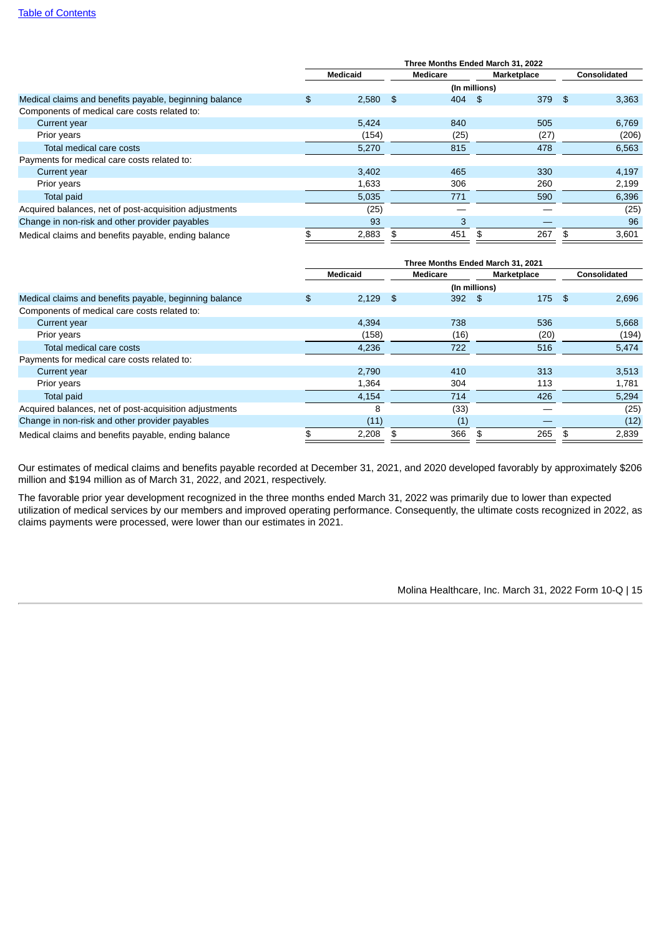|                                                        | Three Months Ended March 31, 2022 |                 |     |               |    |             |     |              |
|--------------------------------------------------------|-----------------------------------|-----------------|-----|---------------|----|-------------|-----|--------------|
|                                                        |                                   | <b>Medicaid</b> |     | Medicare      |    | Marketplace |     | Consolidated |
|                                                        |                                   |                 |     | (In millions) |    |             |     |              |
| Medical claims and benefits payable, beginning balance | \$                                | 2,580           | \$  | 404           | \$ | 379         | -\$ | 3,363        |
| Components of medical care costs related to:           |                                   |                 |     |               |    |             |     |              |
| Current year                                           |                                   | 5.424           |     | 840           |    | 505         |     | 6,769        |
| Prior years                                            |                                   | (154)           |     | (25)          |    | (27)        |     | (206)        |
| Total medical care costs                               |                                   | 5,270           |     | 815           |    | 478         |     | 6,563        |
| Payments for medical care costs related to:            |                                   |                 |     |               |    |             |     |              |
| Current year                                           |                                   | 3.402           |     | 465           |    | 330         |     | 4,197        |
| Prior years                                            |                                   | 1,633           |     | 306           |    | 260         |     | 2,199        |
| Total paid                                             |                                   | 5,035           |     | 771           |    | 590         |     | 6,396        |
| Acquired balances, net of post-acquisition adjustments |                                   | (25)            |     |               |    |             |     | (25)         |
| Change in non-risk and other provider payables         |                                   | 93              |     | 3             |    |             |     | 96           |
| Medical claims and benefits payable, ending balance    |                                   | 2,883           | \$. | 451           | \$ | 267         | \$  | 3,601        |

|                                                        | Three Months Ended March 31, 2021 |            |          |               |             |      |                     |       |
|--------------------------------------------------------|-----------------------------------|------------|----------|---------------|-------------|------|---------------------|-------|
|                                                        | <b>Medicaid</b>                   |            | Medicare |               | Marketplace |      | <b>Consolidated</b> |       |
|                                                        |                                   |            |          | (In millions) |             |      |                     |       |
| Medical claims and benefits payable, beginning balance | \$                                | $2,129$ \$ |          | 392           | $\sim$ \$   | 175  | - \$                | 2,696 |
| Components of medical care costs related to:           |                                   |            |          |               |             |      |                     |       |
| Current year                                           |                                   | 4.394      |          | 738           |             | 536  |                     | 5,668 |
| Prior years                                            |                                   | (158)      |          | (16)          |             | (20) |                     | (194) |
| Total medical care costs                               |                                   | 4,236      |          | 722           |             | 516  |                     | 5,474 |
| Payments for medical care costs related to:            |                                   |            |          |               |             |      |                     |       |
| Current year                                           |                                   | 2,790      |          | 410           |             | 313  |                     | 3,513 |
| Prior years                                            |                                   | 1,364      |          | 304           |             | 113  |                     | 1,781 |
| <b>Total paid</b>                                      |                                   | 4,154      |          | 714           |             | 426  |                     | 5,294 |
| Acquired balances, net of post-acquisition adjustments |                                   | 8          |          | (33)          |             |      |                     | (25)  |
| Change in non-risk and other provider payables         |                                   | (11)       |          | (1)           |             |      |                     | (12)  |
| Medical claims and benefits payable, ending balance    |                                   | 2,208      |          | 366           | \$          | 265  |                     | 2,839 |

Our estimates of medical claims and benefits payable recorded at December 31, 2021, and 2020 developed favorably by approximately \$206 million and \$194 million as of March 31, 2022, and 2021, respectively.

The favorable prior year development recognized in the three months ended March 31, 2022 was primarily due to lower than expected utilization of medical services by our members and improved operating performance. Consequently, the ultimate costs recognized in 2022, as claims payments were processed, were lower than our estimates in 2021.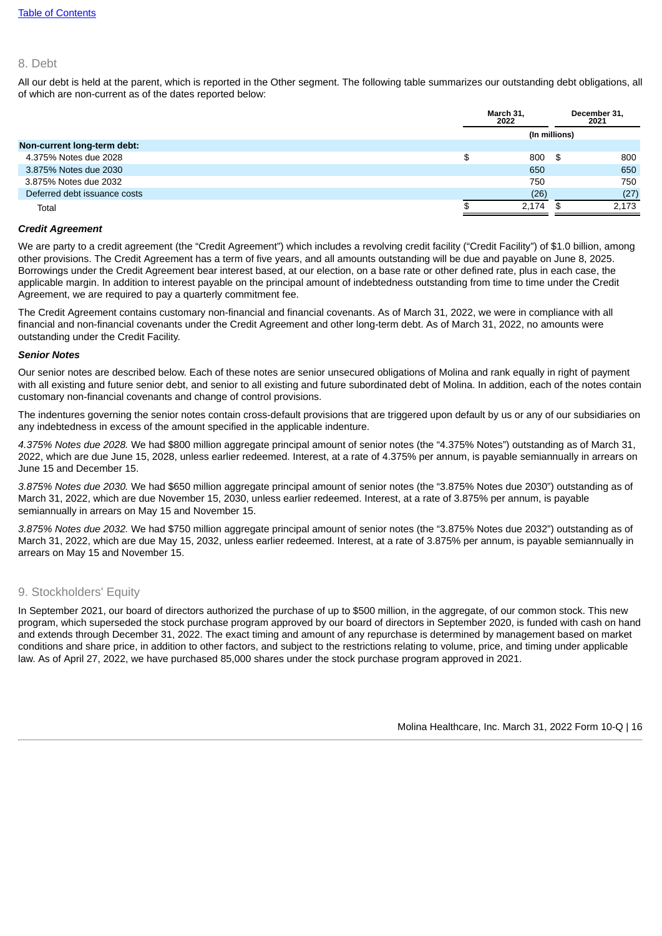#### 8. Debt

All our debt is held at the parent, which is reported in the Other segment. The following table summarizes our outstanding debt obligations, all of which are non-current as of the dates reported below:

|                              |     | March 31.<br>2022 |      | December 31,<br>2021 |
|------------------------------|-----|-------------------|------|----------------------|
|                              |     | (In millions)     |      |                      |
| Non-current long-term debt:  |     |                   |      |                      |
| 4.375% Notes due 2028        | \$  | 800               | - \$ | 800                  |
| 3.875% Notes due 2030        |     | 650               |      | 650                  |
| 3.875% Notes due 2032        |     | 750               |      | 750                  |
| Deferred debt issuance costs |     | (26)              |      | (27)                 |
| Total                        | JЭ. | 2.174             |      | 2.173                |
|                              |     |                   |      |                      |

#### *Credit Agreement*

We are party to a credit agreement (the "Credit Agreement") which includes a revolving credit facility ("Credit Facility") of \$1.0 billion, among other provisions. The Credit Agreement has a term of five years, and all amounts outstanding will be due and payable on June 8, 2025. Borrowings under the Credit Agreement bear interest based, at our election, on a base rate or other defined rate, plus in each case, the applicable margin. In addition to interest payable on the principal amount of indebtedness outstanding from time to time under the Credit Agreement, we are required to pay a quarterly commitment fee.

The Credit Agreement contains customary non-financial and financial covenants. As of March 31, 2022, we were in compliance with all financial and non-financial covenants under the Credit Agreement and other long-term debt. As of March 31, 2022, no amounts were outstanding under the Credit Facility.

#### *Senior Notes*

Our senior notes are described below. Each of these notes are senior unsecured obligations of Molina and rank equally in right of payment with all existing and future senior debt, and senior to all existing and future subordinated debt of Molina. In addition, each of the notes contain customary non-financial covenants and change of control provisions.

The indentures governing the senior notes contain cross-default provisions that are triggered upon default by us or any of our subsidiaries on any indebtedness in excess of the amount specified in the applicable indenture.

*4.375% Notes due 2028.* We had \$800 million aggregate principal amount of senior notes (the "4.375% Notes") outstanding as of March 31, 2022, which are due June 15, 2028, unless earlier redeemed. Interest, at a rate of 4.375% per annum, is payable semiannually in arrears on June 15 and December 15.

*3.875% Notes due 2030.* We had \$650 million aggregate principal amount of senior notes (the "3.875% Notes due 2030") outstanding as of March 31, 2022, which are due November 15, 2030, unless earlier redeemed. Interest, at a rate of 3.875% per annum, is payable semiannually in arrears on May 15 and November 15.

*3.875% Notes due 2032.* We had \$750 million aggregate principal amount of senior notes (the "3.875% Notes due 2032") outstanding as of March 31, 2022, which are due May 15, 2032, unless earlier redeemed. Interest, at a rate of 3.875% per annum, is payable semiannually in arrears on May 15 and November 15.

## 9. Stockholders' Equity

In September 2021, our board of directors authorized the purchase of up to \$500 million, in the aggregate, of our common stock. This new program, which superseded the stock purchase program approved by our board of directors in September 2020, is funded with cash on hand and extends through December 31, 2022. The exact timing and amount of any repurchase is determined by management based on market conditions and share price, in addition to other factors, and subject to the restrictions relating to volume, price, and timing under applicable law. As of April 27, 2022, we have purchased 85,000 shares under the stock purchase program approved in 2021.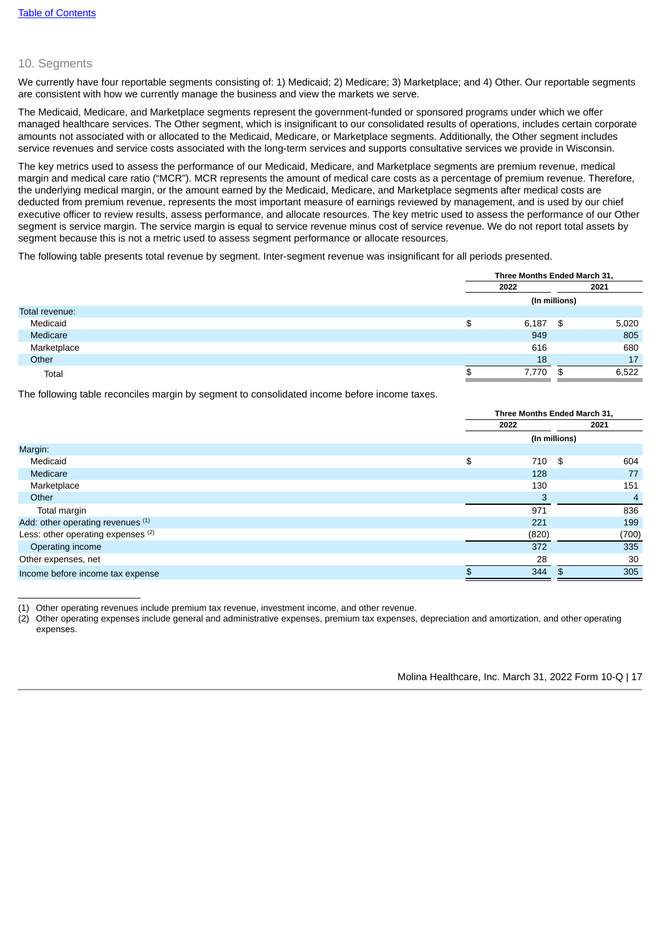## 10. Segments

 $\overline{\phantom{a}}$  , where  $\overline{\phantom{a}}$  , where  $\overline{\phantom{a}}$  , where  $\overline{\phantom{a}}$ 

We currently have four reportable segments consisting of: 1) Medicaid; 2) Medicare; 3) Marketplace; and 4) Other. Our reportable segments are consistent with how we currently manage the business and view the markets we serve.

The Medicaid, Medicare, and Marketplace segments represent the government-funded or sponsored programs under which we offer managed healthcare services. The Other segment, which is insignificant to our consolidated results of operations, includes certain corporate amounts not associated with or allocated to the Medicaid, Medicare, or Marketplace segments. Additionally, the Other segment includes service revenues and service costs associated with the long-term services and supports consultative services we provide in Wisconsin.

The key metrics used to assess the performance of our Medicaid, Medicare, and Marketplace segments are premium revenue, medical margin and medical care ratio ("MCR"). MCR represents the amount of medical care costs as a percentage of premium revenue. Therefore, the underlying medical margin, or the amount earned by the Medicaid, Medicare, and Marketplace segments after medical costs are deducted from premium revenue, represents the most important measure of earnings reviewed by management, and is used by our chief executive officer to review results, assess performance, and allocate resources. The key metric used to assess the performance of our Other segment is service margin. The service margin is equal to service revenue minus cost of service revenue. We do not report total assets by segment because this is not a metric used to assess segment performance or allocate resources.

The following table presents total revenue by segment. Inter-segment revenue was insignificant for all periods presented.

|                | Three Months Ended March 31, |               |       |  |  |
|----------------|------------------------------|---------------|-------|--|--|
|                | 2022                         |               | 2021  |  |  |
|                |                              | (In millions) |       |  |  |
| Total revenue: |                              |               |       |  |  |
| Medicaid       | \$<br>6,187                  | - \$          | 5,020 |  |  |
| Medicare       | 949                          |               | 805   |  |  |
| Marketplace    | 616                          |               | 680   |  |  |
| Other          | 18                           |               | 17    |  |  |
| Total          | 7.770                        | \$            | 6,522 |  |  |

The following table reconciles margin by segment to consolidated income before income taxes.

|                                    | Three Months Ended March 31, |               |      |                |
|------------------------------------|------------------------------|---------------|------|----------------|
|                                    | 2022                         |               |      | 2021           |
|                                    |                              | (In millions) |      |                |
| Margin:                            |                              |               |      |                |
| Medicaid                           | \$                           | 710           | - \$ | 604            |
| Medicare                           |                              | 128           |      | 77             |
| Marketplace                        |                              | 130           |      | 151            |
| Other                              |                              | 3             |      | $\overline{4}$ |
| Total margin                       |                              | 971           |      | 836            |
| Add: other operating revenues (1)  |                              | 221           |      | 199            |
| Less: other operating expenses (2) |                              | (820)         |      | (700)          |
| Operating income                   |                              | 372           |      | 335            |
| Other expenses, net                |                              | 28            |      | 30             |
| Income before income tax expense   |                              | 344           | \$   | 305            |

(1) Other operating revenues include premium tax revenue, investment income, and other revenue.

(2) Other operating expenses include general and administrative expenses, premium tax expenses, depreciation and amortization, and other operating expenses.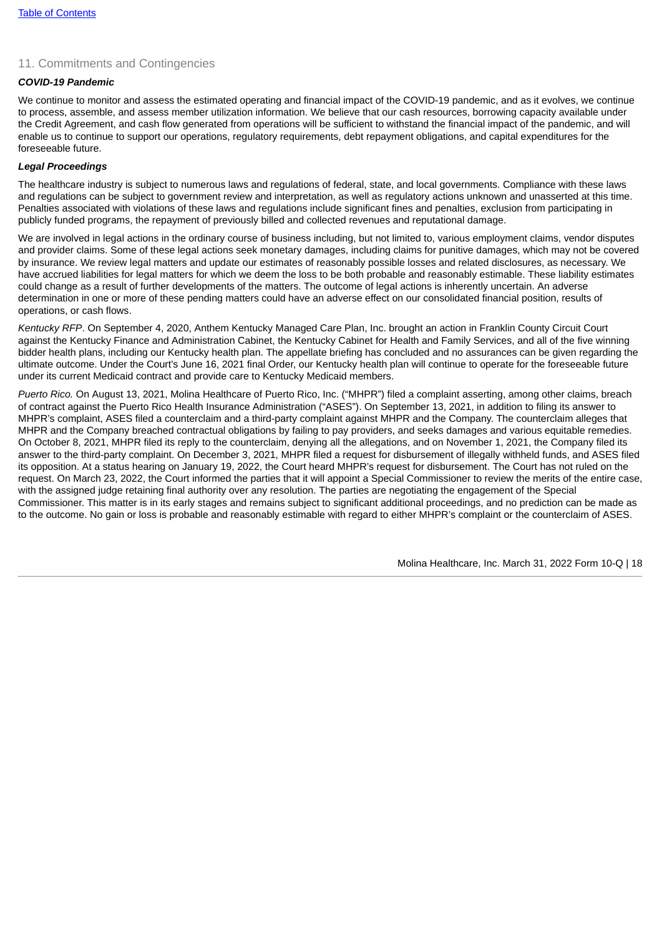# 11. Commitments and Contingencies

# *COVID-19 Pandemic*

We continue to monitor and assess the estimated operating and financial impact of the COVID-19 pandemic, and as it evolves, we continue to process, assemble, and assess member utilization information. We believe that our cash resources, borrowing capacity available under the Credit Agreement, and cash flow generated from operations will be sufficient to withstand the financial impact of the pandemic, and will enable us to continue to support our operations, regulatory requirements, debt repayment obligations, and capital expenditures for the foreseeable future.

## *Legal Proceedings*

The healthcare industry is subject to numerous laws and regulations of federal, state, and local governments. Compliance with these laws and regulations can be subject to government review and interpretation, as well as regulatory actions unknown and unasserted at this time. Penalties associated with violations of these laws and regulations include significant fines and penalties, exclusion from participating in publicly funded programs, the repayment of previously billed and collected revenues and reputational damage.

We are involved in legal actions in the ordinary course of business including, but not limited to, various employment claims, vendor disputes and provider claims. Some of these legal actions seek monetary damages, including claims for punitive damages, which may not be covered by insurance. We review legal matters and update our estimates of reasonably possible losses and related disclosures, as necessary. We have accrued liabilities for legal matters for which we deem the loss to be both probable and reasonably estimable. These liability estimates could change as a result of further developments of the matters. The outcome of legal actions is inherently uncertain. An adverse determination in one or more of these pending matters could have an adverse effect on our consolidated financial position, results of operations, or cash flows.

*Kentucky RFP*. On September 4, 2020, Anthem Kentucky Managed Care Plan, Inc. brought an action in Franklin County Circuit Court against the Kentucky Finance and Administration Cabinet, the Kentucky Cabinet for Health and Family Services, and all of the five winning bidder health plans, including our Kentucky health plan. The appellate briefing has concluded and no assurances can be given regarding the ultimate outcome. Under the Court's June 16, 2021 final Order, our Kentucky health plan will continue to operate for the foreseeable future under its current Medicaid contract and provide care to Kentucky Medicaid members.

<span id="page-17-0"></span>*Puerto Rico.* On August 13, 2021, Molina Healthcare of Puerto Rico, Inc. ("MHPR") filed a complaint asserting, among other claims, breach of contract against the Puerto Rico Health Insurance Administration ("ASES"). On September 13, 2021, in addition to filing its answer to MHPR's complaint, ASES filed a counterclaim and a third-party complaint against MHPR and the Company. The counterclaim alleges that MHPR and the Company breached contractual obligations by failing to pay providers, and seeks damages and various equitable remedies. On October 8, 2021, MHPR filed its reply to the counterclaim, denying all the allegations, and on November 1, 2021, the Company filed its answer to the third-party complaint. On December 3, 2021, MHPR filed a request for disbursement of illegally withheld funds, and ASES filed its opposition. At a status hearing on January 19, 2022, the Court heard MHPR's request for disbursement. The Court has not ruled on the request. On March 23, 2022, the Court informed the parties that it will appoint a Special Commissioner to review the merits of the entire case, with the assigned judge retaining final authority over any resolution. The parties are negotiating the engagement of the Special Commissioner. This matter is in its early stages and remains subject to significant additional proceedings, and no prediction can be made as to the outcome. No gain or loss is probable and reasonably estimable with regard to either MHPR's complaint or the counterclaim of ASES.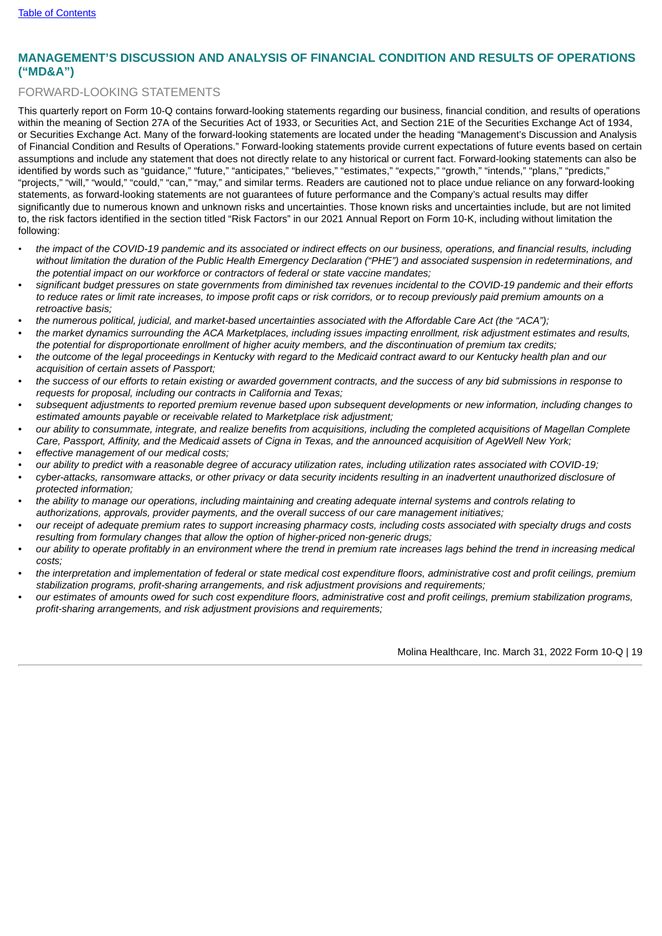# **MANAGEMENT'S DISCUSSION AND ANALYSIS OF FINANCIAL CONDITION AND RESULTS OF OPERATIONS ("MD&A")**

# FORWARD-LOOKING STATEMENTS

This quarterly report on Form 10-Q contains forward-looking statements regarding our business, financial condition, and results of operations within the meaning of Section 27A of the Securities Act of 1933, or Securities Act, and Section 21E of the Securities Exchange Act of 1934, or Securities Exchange Act. Many of the forward-looking statements are located under the heading "Management's Discussion and Analysis of Financial Condition and Results of Operations." Forward-looking statements provide current expectations of future events based on certain assumptions and include any statement that does not directly relate to any historical or current fact. Forward-looking statements can also be identified by words such as "guidance," "future," "anticipates," "believes," "estimates," "expects," "growth," "intends," "plans," "predicts," "projects," "will," "would," "could," "can," "may," and similar terms. Readers are cautioned not to place undue reliance on any forward-looking statements, as forward-looking statements are not guarantees of future performance and the Company's actual results may differ significantly due to numerous known and unknown risks and uncertainties. Those known risks and uncertainties include, but are not limited to, the risk factors identified in the section titled "Risk Factors" in our 2021 Annual Report on Form 10-K, including without limitation the following:

- the impact of the COVID-19 pandemic and its associated or indirect effects on our business, operations, and financial results, including without limitation the duration of the Public Health Emergency Declaration ("PHE") and associated suspension in redeterminations, and *the potential impact on our workforce or contractors of federal or state vaccine mandates;*
- significant budget pressures on state governments from diminished tax revenues incidental to the COVID-19 pandemic and their efforts to reduce rates or limit rate increases, to impose profit caps or risk corridors, or to recoup previously paid premium amounts on a *retroactive basis;*
- the numerous political, judicial, and market-based uncertainties associated with the Affordable Care Act (the "ACA");
- the market dynamics surrounding the ACA Marketplaces, including issues impacting enrollment, risk adjustment estimates and results, the potential for disproportionate enrollment of higher acuity members, and the discontinuation of premium tax credits;
- the outcome of the legal proceedings in Kentucky with regard to the Medicaid contract award to our Kentucky health plan and our *acquisition of certain assets of Passport;*
- the success of our efforts to retain existing or awarded government contracts, and the success of any bid submissions in response to *requests for proposal, including our contracts in California and Texas;*
- subsequent adjustments to reported premium revenue based upon subsequent developments or new information, including changes to *estimated amounts payable or receivable related to Marketplace risk adjustment;*
- our ability to consummate, integrate, and realize benefits from acquisitions, including the completed acquisitions of Magellan Complete Care, Passport, Affinity, and the Medicaid assets of Cigna in Texas, and the announced acquisition of AgeWell New York; *• effective management of our medical costs;*
- 
- our ability to predict with a reasonable degree of accuracy utilization rates, including utilization rates associated with COVID-19; cyber-attacks, ransomware attacks, or other privacy or data security incidents resulting in an inadvertent unauthorized disclosure of *protected information;*
- the ability to manage our operations, including maintaining and creating adequate internal systems and controls relating to *authorizations, approvals, provider payments, and the overall success of our care management initiatives;*
- our receipt of adequate premium rates to support increasing pharmacy costs, including costs associated with specialty drugs and costs *resulting from formulary changes that allow the option of higher-priced non-generic drugs;*
- our ability to operate profitably in an environment where the trend in premium rate increases lags behind the trend in increasing medical *costs;*
- the interpretation and implementation of federal or state medical cost expenditure floors, administrative cost and profit ceilings, premium *stabilization programs, profit-sharing arrangements, and risk adjustment provisions and requirements;*
- our estimates of amounts owed for such cost expenditure floors, administrative cost and profit ceilings, premium stabilization programs, *profit-sharing arrangements, and risk adjustment provisions and requirements;*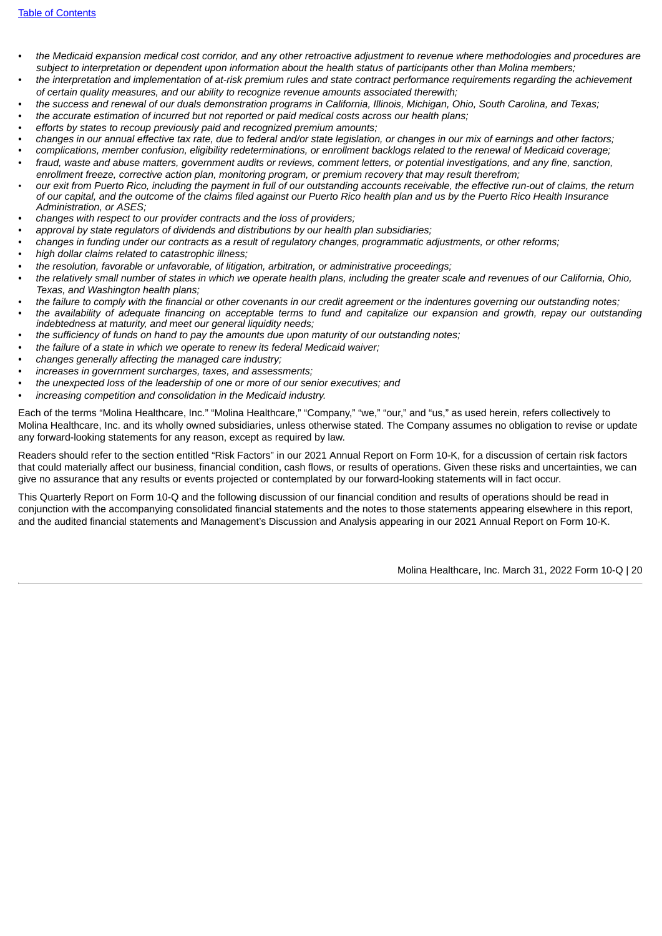- the Medicaid expansion medical cost corridor, and any other retroactive adjustment to revenue where methodologies and procedures are subject to interpretation or dependent upon information about the health status of participants other than Molina members;
- the interpretation and implementation of at-risk premium rules and state contract performance requirements regarding the achievement *of certain quality measures, and our ability to recognize revenue amounts associated therewith;*
- the success and renewal of our duals demonstration programs in California, Illinois, Michigan, Ohio, South Carolina, and Texas;
- *• the accurate estimation of incurred but not reported or paid medical costs across our health plans;*
- *• efforts by states to recoup previously paid and recognized premium amounts;*
- changes in our annual effective tax rate, due to federal and/or state legislation, or changes in our mix of earnings and other factors;
- complications, member confusion, eligibility redeterminations, or enrollment backlogs related to the renewal of Medicaid coverage; fraud, waste and abuse matters, government audits or reviews, comment letters, or potential investigations, and any fine, sanction,
- *enrollment freeze, corrective action plan, monitoring program, or premium recovery that may result therefrom;*
- our exit from Puerto Rico, including the payment in full of our outstanding accounts receivable, the effective run-out of claims, the return of our capital, and the outcome of the claims filed against our Puerto Rico health plan and us by the Puerto Rico Health Insurance *Administration, or ASES;*
- *• changes with respect to our provider contracts and the loss of providers;*
- *• approval by state regulators of dividends and distributions by our health plan subsidiaries;*
- changes in funding under our contracts as a result of regulatory changes, programmatic adjustments, or other reforms;
- *• high dollar claims related to catastrophic illness;*
- *• the resolution, favorable or unfavorable, of litigation, arbitration, or administrative proceedings;*
- the relatively small number of states in which we operate health plans, including the greater scale and revenues of our California, Ohio, *Texas, and Washington health plans;*
- the failure to comply with the financial or other covenants in our credit agreement or the indentures governing our outstanding notes:
- the availability of adequate financing on acceptable terms to fund and capitalize our expansion and growth, repay our outstanding *indebtedness at maturity, and meet our general liquidity needs;*
- *• the sufficiency of funds on hand to pay the amounts due upon maturity of our outstanding notes;*
- *• the failure of a state in which we operate to renew its federal Medicaid waiver;*
- *• changes generally affecting the managed care industry;*
- *• increases in government surcharges, taxes, and assessments;*
- *• the unexpected loss of the leadership of one or more of our senior executives; and*
- *• increasing competition and consolidation in the Medicaid industry.*

Each of the terms "Molina Healthcare, Inc." "Molina Healthcare," "Company," "we," "our," and "us," as used herein, refers collectively to Molina Healthcare, Inc. and its wholly owned subsidiaries, unless otherwise stated. The Company assumes no obligation to revise or update any forward-looking statements for any reason, except as required by law.

Readers should refer to the section entitled "Risk Factors" in our 2021 Annual Report on Form 10-K, for a discussion of certain risk factors that could materially affect our business, financial condition, cash flows, or results of operations. Given these risks and uncertainties, we can give no assurance that any results or events projected or contemplated by our forward-looking statements will in fact occur.

This Quarterly Report on Form 10-Q and the following discussion of our financial condition and results of operations should be read in conjunction with the accompanying consolidated financial statements and the notes to those statements appearing elsewhere in this report, and the audited financial statements and Management's Discussion and Analysis appearing in our 2021 Annual Report on Form 10-K.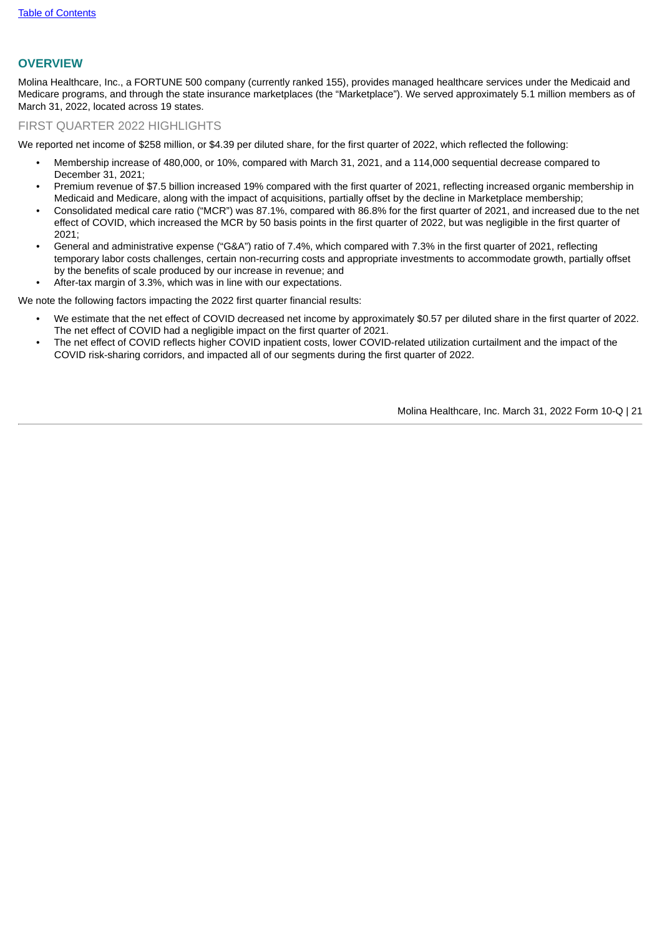# **OVERVIEW**

Molina Healthcare, Inc., a FORTUNE 500 company (currently ranked 155), provides managed healthcare services under the Medicaid and Medicare programs, and through the state insurance marketplaces (the "Marketplace"). We served approximately 5.1 million members as of March 31, 2022, located across 19 states.

# FIRST QUARTER 2022 HIGHLIGHTS

We reported net income of \$258 million, or \$4.39 per diluted share, for the first quarter of 2022, which reflected the following:

- Membership increase of 480,000, or 10%, compared with March 31, 2021, and a 114,000 sequential decrease compared to December 31, 2021;
- Premium revenue of \$7.5 billion increased 19% compared with the first quarter of 2021, reflecting increased organic membership in Medicaid and Medicare, along with the impact of acquisitions, partially offset by the decline in Marketplace membership;
- Consolidated medical care ratio ("MCR") was 87.1%, compared with 86.8% for the first quarter of 2021, and increased due to the net effect of COVID, which increased the MCR by 50 basis points in the first quarter of 2022, but was negligible in the first quarter of 2021;
- General and administrative expense ("G&A") ratio of 7.4%, which compared with 7.3% in the first quarter of 2021, reflecting temporary labor costs challenges, certain non-recurring costs and appropriate investments to accommodate growth, partially offset by the benefits of scale produced by our increase in revenue; and
- After-tax margin of 3.3%, which was in line with our expectations.

We note the following factors impacting the 2022 first quarter financial results:

- We estimate that the net effect of COVID decreased net income by approximately \$0.57 per diluted share in the first quarter of 2022. The net effect of COVID had a negligible impact on the first quarter of 2021.
- The net effect of COVID reflects higher COVID inpatient costs, lower COVID-related utilization curtailment and the impact of the COVID risk-sharing corridors, and impacted all of our segments during the first quarter of 2022.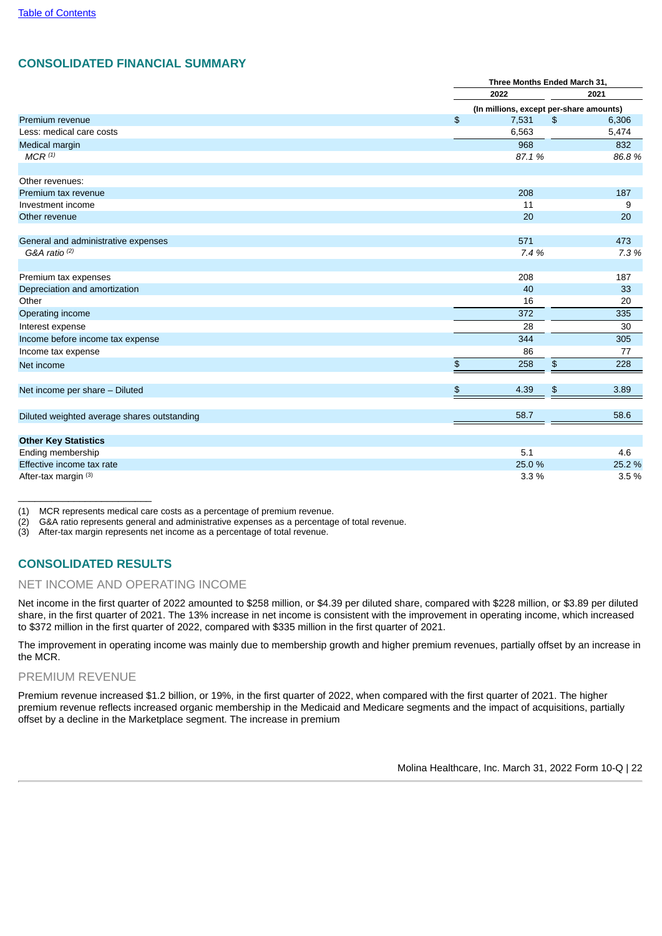# **CONSOLIDATED FINANCIAL SUMMARY**

|                                             |               | Three Months Ended March 31,            |        |  |  |
|---------------------------------------------|---------------|-----------------------------------------|--------|--|--|
|                                             |               | 2022<br>2021                            |        |  |  |
|                                             |               | (In millions, except per-share amounts) |        |  |  |
| Premium revenue                             | $\frac{1}{2}$ | 7,531<br>$\frac{1}{2}$                  | 6,306  |  |  |
| Less: medical care costs                    |               | 6,563                                   | 5,474  |  |  |
| Medical margin                              |               | 968                                     | 832    |  |  |
| $MCR$ $(1)$                                 |               | 87.1 %                                  | 86.8%  |  |  |
| Other revenues:                             |               |                                         |        |  |  |
| Premium tax revenue                         |               | 208                                     | 187    |  |  |
| Investment income                           |               | 11                                      | 9      |  |  |
| Other revenue                               |               | 20                                      | 20     |  |  |
| General and administrative expenses         |               | 571                                     | 473    |  |  |
| G&A ratio $(2)$                             |               | 7.4 %                                   | 7.3%   |  |  |
| Premium tax expenses                        |               | 208                                     | 187    |  |  |
| Depreciation and amortization               |               | 40                                      | 33     |  |  |
| Other                                       |               | 16                                      | 20     |  |  |
| Operating income                            |               | 372                                     | 335    |  |  |
| Interest expense                            |               | 28                                      | 30     |  |  |
| Income before income tax expense            |               | 344                                     | 305    |  |  |
| Income tax expense                          |               | 86                                      | 77     |  |  |
| Net income                                  | $\frac{4}{5}$ | \$<br>258                               | 228    |  |  |
| Net income per share - Diluted              | $\frac{1}{2}$ | 4.39<br>\$                              | 3.89   |  |  |
|                                             |               |                                         |        |  |  |
| Diluted weighted average shares outstanding |               | 58.7                                    | 58.6   |  |  |
| <b>Other Key Statistics</b>                 |               |                                         |        |  |  |
| Ending membership                           |               | 5.1                                     | 4.6    |  |  |
| Effective income tax rate                   |               | 25.0 %                                  | 25.2 % |  |  |
| After-tax margin (3)                        |               | 3.3%                                    | 3.5%   |  |  |

(1) MCR represents medical care costs as a percentage of premium revenue.

(2) G&A ratio represents general and administrative expenses as a percentage of total revenue.

(3) After-tax margin represents net income as a percentage of total revenue.

# **CONSOLIDATED RESULTS**

\_\_\_\_\_\_\_\_\_\_\_\_\_\_\_\_\_\_\_\_\_\_\_\_

## NET INCOME AND OPERATING INCOME

Net income in the first quarter of 2022 amounted to \$258 million, or \$4.39 per diluted share, compared with \$228 million, or \$3.89 per diluted share, in the first quarter of 2021. The 13% increase in net income is consistent with the improvement in operating income, which increased to \$372 million in the first quarter of 2022, compared with \$335 million in the first quarter of 2021.

The improvement in operating income was mainly due to membership growth and higher premium revenues, partially offset by an increase in the MCR.

## PREMIUM REVENUE

Premium revenue increased \$1.2 billion, or 19%, in the first quarter of 2022, when compared with the first quarter of 2021. The higher premium revenue reflects increased organic membership in the Medicaid and Medicare segments and the impact of acquisitions, partially offset by a decline in the Marketplace segment. The increase in premium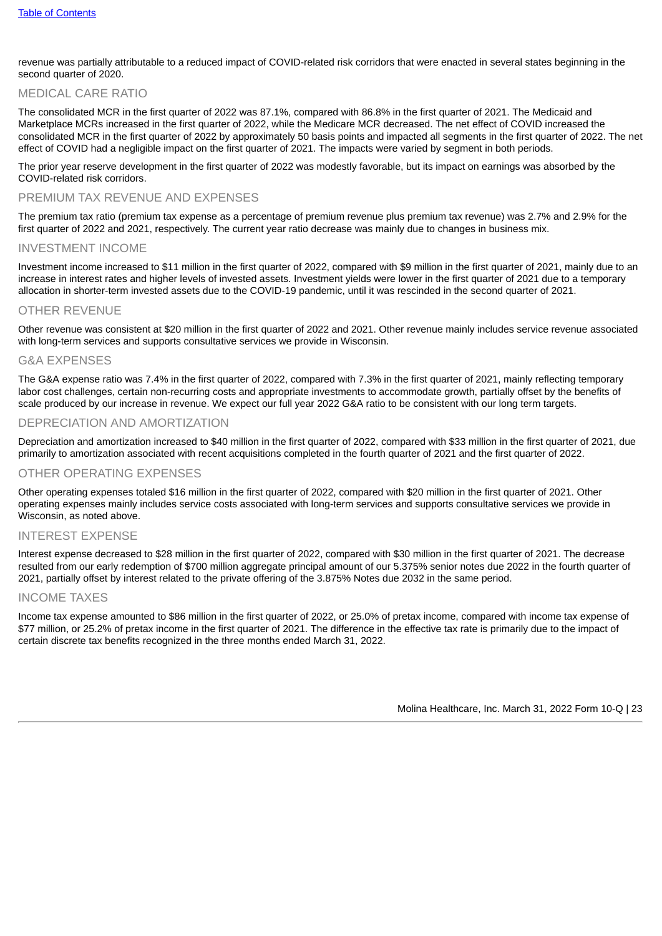revenue was partially attributable to a reduced impact of COVID-related risk corridors that were enacted in several states beginning in the second quarter of 2020.

# MEDICAL CARE RATIO

The consolidated MCR in the first quarter of 2022 was 87.1%, compared with 86.8% in the first quarter of 2021. The Medicaid and Marketplace MCRs increased in the first quarter of 2022, while the Medicare MCR decreased. The net effect of COVID increased the consolidated MCR in the first quarter of 2022 by approximately 50 basis points and impacted all segments in the first quarter of 2022. The net effect of COVID had a negligible impact on the first quarter of 2021. The impacts were varied by segment in both periods.

The prior year reserve development in the first quarter of 2022 was modestly favorable, but its impact on earnings was absorbed by the COVID-related risk corridors.

## PREMIUM TAX REVENUE AND EXPENSES

The premium tax ratio (premium tax expense as a percentage of premium revenue plus premium tax revenue) was 2.7% and 2.9% for the first quarter of 2022 and 2021, respectively. The current year ratio decrease was mainly due to changes in business mix.

## INVESTMENT INCOME

Investment income increased to \$11 million in the first quarter of 2022, compared with \$9 million in the first quarter of 2021, mainly due to an increase in interest rates and higher levels of invested assets. Investment yields were lower in the first quarter of 2021 due to a temporary allocation in shorter-term invested assets due to the COVID-19 pandemic, until it was rescinded in the second quarter of 2021.

## OTHER REVENUE

Other revenue was consistent at \$20 million in the first quarter of 2022 and 2021. Other revenue mainly includes service revenue associated with long-term services and supports consultative services we provide in Wisconsin.

## G&A EXPENSES

The G&A expense ratio was 7.4% in the first quarter of 2022, compared with 7.3% in the first quarter of 2021, mainly reflecting temporary labor cost challenges, certain non-recurring costs and appropriate investments to accommodate growth, partially offset by the benefits of scale produced by our increase in revenue. We expect our full year 2022 G&A ratio to be consistent with our long term targets.

## DEPRECIATION AND AMORTIZATION

Depreciation and amortization increased to \$40 million in the first quarter of 2022, compared with \$33 million in the first quarter of 2021, due primarily to amortization associated with recent acquisitions completed in the fourth quarter of 2021 and the first quarter of 2022.

## OTHER OPERATING EXPENSES

Other operating expenses totaled \$16 million in the first quarter of 2022, compared with \$20 million in the first quarter of 2021. Other operating expenses mainly includes service costs associated with long-term services and supports consultative services we provide in Wisconsin, as noted above.

## INTEREST EXPENSE

Interest expense decreased to \$28 million in the first quarter of 2022, compared with \$30 million in the first quarter of 2021. The decrease resulted from our early redemption of \$700 million aggregate principal amount of our 5.375% senior notes due 2022 in the fourth quarter of 2021, partially offset by interest related to the private offering of the 3.875% Notes due 2032 in the same period.

## INCOME TAXES

Income tax expense amounted to \$86 million in the first quarter of 2022, or 25.0% of pretax income, compared with income tax expense of \$77 million, or 25.2% of pretax income in the first quarter of 2021. The difference in the effective tax rate is primarily due to the impact of certain discrete tax benefits recognized in the three months ended March 31, 2022.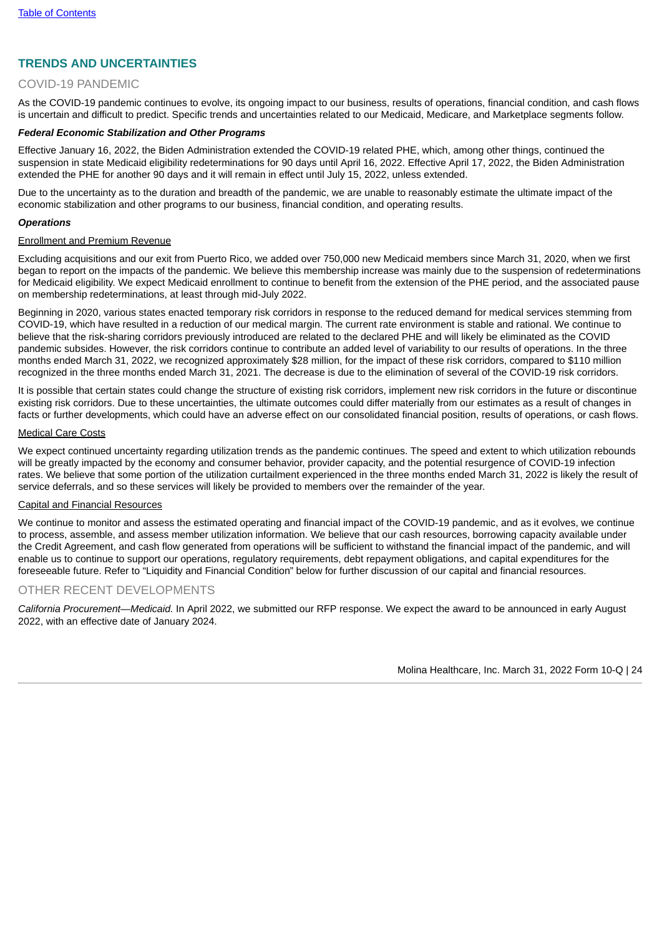# **TRENDS AND UNCERTAINTIES**

## COVID-19 PANDEMIC

As the COVID-19 pandemic continues to evolve, its ongoing impact to our business, results of operations, financial condition, and cash flows is uncertain and difficult to predict. Specific trends and uncertainties related to our Medicaid, Medicare, and Marketplace segments follow.

### *Federal Economic Stabilization and Other Programs*

Effective January 16, 2022, the Biden Administration extended the COVID-19 related PHE, which, among other things, continued the suspension in state Medicaid eligibility redeterminations for 90 days until April 16, 2022. Effective April 17, 2022, the Biden Administration extended the PHE for another 90 days and it will remain in effect until July 15, 2022, unless extended.

Due to the uncertainty as to the duration and breadth of the pandemic, we are unable to reasonably estimate the ultimate impact of the economic stabilization and other programs to our business, financial condition, and operating results.

#### *Operations*

### Enrollment and Premium Revenue

Excluding acquisitions and our exit from Puerto Rico, we added over 750,000 new Medicaid members since March 31, 2020, when we first began to report on the impacts of the pandemic. We believe this membership increase was mainly due to the suspension of redeterminations for Medicaid eligibility. We expect Medicaid enrollment to continue to benefit from the extension of the PHE period, and the associated pause on membership redeterminations, at least through mid-July 2022.

Beginning in 2020, various states enacted temporary risk corridors in response to the reduced demand for medical services stemming from COVID-19, which have resulted in a reduction of our medical margin. The current rate environment is stable and rational. We continue to believe that the risk-sharing corridors previously introduced are related to the declared PHE and will likely be eliminated as the COVID pandemic subsides. However, the risk corridors continue to contribute an added level of variability to our results of operations. In the three months ended March 31, 2022, we recognized approximately \$28 million, for the impact of these risk corridors, compared to \$110 million recognized in the three months ended March 31, 2021. The decrease is due to the elimination of several of the COVID-19 risk corridors.

It is possible that certain states could change the structure of existing risk corridors, implement new risk corridors in the future or discontinue existing risk corridors. Due to these uncertainties, the ultimate outcomes could differ materially from our estimates as a result of changes in facts or further developments, which could have an adverse effect on our consolidated financial position, results of operations, or cash flows.

#### Medical Care Costs

We expect continued uncertainty regarding utilization trends as the pandemic continues. The speed and extent to which utilization rebounds will be greatly impacted by the economy and consumer behavior, provider capacity, and the potential resurgence of COVID-19 infection rates. We believe that some portion of the utilization curtailment experienced in the three months ended March 31, 2022 is likely the result of service deferrals, and so these services will likely be provided to members over the remainder of the year.

#### Capital and Financial Resources

We continue to monitor and assess the estimated operating and financial impact of the COVID-19 pandemic, and as it evolves, we continue to process, assemble, and assess member utilization information. We believe that our cash resources, borrowing capacity available under the Credit Agreement, and cash flow generated from operations will be sufficient to withstand the financial impact of the pandemic, and will enable us to continue to support our operations, regulatory requirements, debt repayment obligations, and capital expenditures for the foreseeable future. Refer to "Liquidity and Financial Condition" below for further discussion of our capital and financial resources.

## OTHER RECENT DEVELOPMENTS

*California Procurement—Medicaid.* In April 2022, we submitted our RFP response. We expect the award to be announced in early August 2022, with an effective date of January 2024.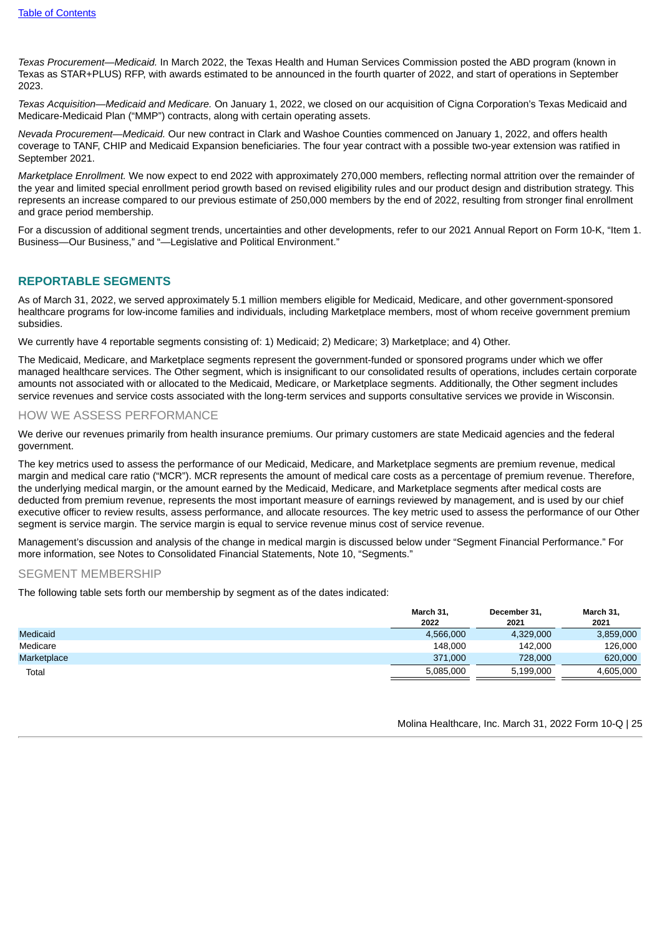*Texas Procurement—Medicaid.* In March 2022, the Texas Health and Human Services Commission posted the ABD program (known in Texas as STAR+PLUS) RFP, with awards estimated to be announced in the fourth quarter of 2022, and start of operations in September 2023.

*Texas Acquisition—Medicaid and Medicare.* On January 1, 2022, we closed on our acquisition of Cigna Corporation's Texas Medicaid and Medicare-Medicaid Plan ("MMP") contracts, along with certain operating assets.

*Nevada Procurement—Medicaid.* Our new contract in Clark and Washoe Counties commenced on January 1, 2022, and offers health coverage to TANF, CHIP and Medicaid Expansion beneficiaries. The four year contract with a possible two-year extension was ratified in September 2021.

*Marketplace Enrollment.* We now expect to end 2022 with approximately 270,000 members, reflecting normal attrition over the remainder of the year and limited special enrollment period growth based on revised eligibility rules and our product design and distribution strategy. This represents an increase compared to our previous estimate of 250,000 members by the end of 2022, resulting from stronger final enrollment and grace period membership.

For a discussion of additional segment trends, uncertainties and other developments, refer to our 2021 Annual Report on Form 10-K, "Item 1. Business—Our Business," and "—Legislative and Political Environment."

# **REPORTABLE SEGMENTS**

As of March 31, 2022, we served approximately 5.1 million members eligible for Medicaid, Medicare, and other government-sponsored healthcare programs for low-income families and individuals, including Marketplace members, most of whom receive government premium subsidies.

We currently have 4 reportable segments consisting of: 1) Medicaid; 2) Medicare; 3) Marketplace; and 4) Other.

The Medicaid, Medicare, and Marketplace segments represent the government-funded or sponsored programs under which we offer managed healthcare services. The Other segment, which is insignificant to our consolidated results of operations, includes certain corporate amounts not associated with or allocated to the Medicaid, Medicare, or Marketplace segments. Additionally, the Other segment includes service revenues and service costs associated with the long-term services and supports consultative services we provide in Wisconsin.

## HOW WE ASSESS PERFORMANCE

We derive our revenues primarily from health insurance premiums. Our primary customers are state Medicaid agencies and the federal government.

The key metrics used to assess the performance of our Medicaid, Medicare, and Marketplace segments are premium revenue, medical margin and medical care ratio ("MCR"). MCR represents the amount of medical care costs as a percentage of premium revenue. Therefore, the underlying medical margin, or the amount earned by the Medicaid, Medicare, and Marketplace segments after medical costs are deducted from premium revenue, represents the most important measure of earnings reviewed by management, and is used by our chief executive officer to review results, assess performance, and allocate resources. The key metric used to assess the performance of our Other segment is service margin. The service margin is equal to service revenue minus cost of service revenue.

Management's discussion and analysis of the change in medical margin is discussed below under "Segment Financial Performance." For more information, see Notes to Consolidated Financial Statements, Note 10, "Segments."

# SEGMENT MEMBERSHIP

The following table sets forth our membership by segment as of the dates indicated:

|                 | March 31. | December 31, | March 31, |
|-----------------|-----------|--------------|-----------|
|                 | 2022      | 2021         | 2021      |
| <b>Medicaid</b> | 4,566,000 | 4,329,000    | 3,859,000 |
| Medicare        | 148.000   | 142.000      | 126,000   |
| Marketplace     | 371,000   | 728,000      | 620,000   |
| Total           | 5.085.000 | 5.199.000    | 4.605.000 |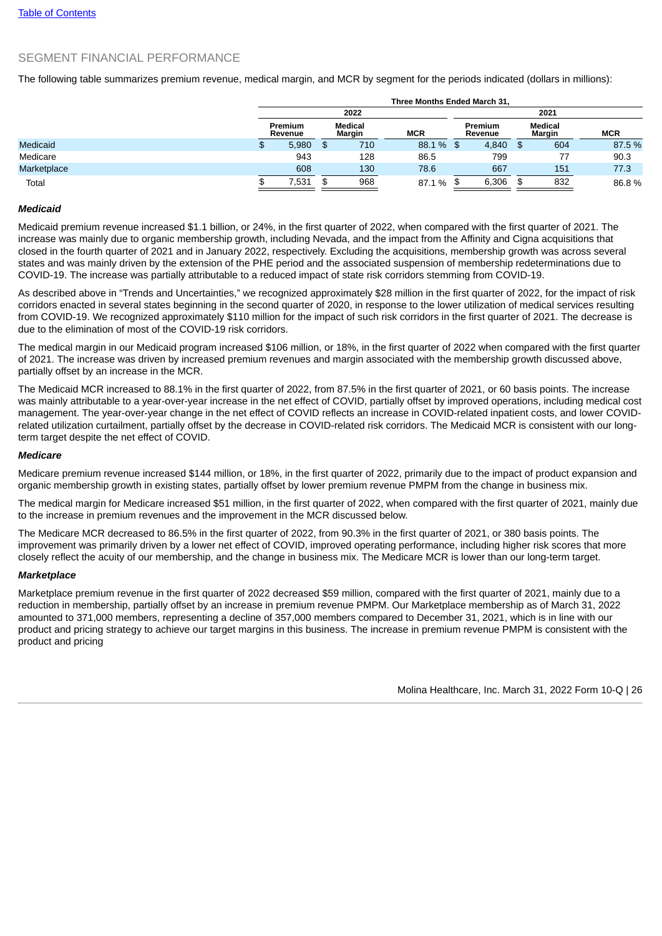# SEGMENT FINANCIAL PERFORMANCE

The following table summarizes premium revenue, medical margin, and MCR by segment for the periods indicated (dollars in millions):

|             | Three Months Ended March 31. |                   |     |            |      |       |          |                    |        |                   |            |  |
|-------------|------------------------------|-------------------|-----|------------|------|-------|----------|--------------------|--------|-------------------|------------|--|
|             | 2022                         |                   |     |            | 2021 |       |          |                    |        |                   |            |  |
|             | Premium<br>Revenue           | Medical<br>Margin |     | <b>MCR</b> |      |       |          | Premium<br>Revenue |        | Medical<br>Margin | <b>MCR</b> |  |
| Medicaid    | 5,980                        | \$                | 710 | 88.1 %     | - SS | 4,840 | <b>S</b> | 604                | 87.5 % |                   |            |  |
| Medicare    | 943                          |                   | 128 | 86.5       |      | 799   |          | 77                 | 90.3   |                   |            |  |
| Marketplace | 608                          |                   | 130 | 78.6       |      | 667   |          | 151                | 77.3   |                   |            |  |
| Total       | 7,531                        |                   | 968 | 87.1 %     | - SS | 6,306 |          | 832                | 86.8%  |                   |            |  |

### *Medicaid*

Medicaid premium revenue increased \$1.1 billion, or 24%, in the first quarter of 2022, when compared with the first quarter of 2021. The increase was mainly due to organic membership growth, including Nevada, and the impact from the Affinity and Cigna acquisitions that closed in the fourth quarter of 2021 and in January 2022, respectively. Excluding the acquisitions, membership growth was across several states and was mainly driven by the extension of the PHE period and the associated suspension of membership redeterminations due to COVID-19. The increase was partially attributable to a reduced impact of state risk corridors stemming from COVID-19.

As described above in "Trends and Uncertainties," we recognized approximately \$28 million in the first quarter of 2022, for the impact of risk corridors enacted in several states beginning in the second quarter of 2020, in response to the lower utilization of medical services resulting from COVID-19. We recognized approximately \$110 million for the impact of such risk corridors in the first quarter of 2021. The decrease is due to the elimination of most of the COVID-19 risk corridors.

The medical margin in our Medicaid program increased \$106 million, or 18%, in the first quarter of 2022 when compared with the first quarter of 2021. The increase was driven by increased premium revenues and margin associated with the membership growth discussed above, partially offset by an increase in the MCR.

The Medicaid MCR increased to 88.1% in the first quarter of 2022, from 87.5% in the first quarter of 2021, or 60 basis points. The increase was mainly attributable to a year-over-year increase in the net effect of COVID, partially offset by improved operations, including medical cost management. The year-over-year change in the net effect of COVID reflects an increase in COVID-related inpatient costs, and lower COVIDrelated utilization curtailment, partially offset by the decrease in COVID-related risk corridors. The Medicaid MCR is consistent with our longterm target despite the net effect of COVID.

#### *Medicare*

Medicare premium revenue increased \$144 million, or 18%, in the first quarter of 2022, primarily due to the impact of product expansion and organic membership growth in existing states, partially offset by lower premium revenue PMPM from the change in business mix.

The medical margin for Medicare increased \$51 million, in the first quarter of 2022, when compared with the first quarter of 2021, mainly due to the increase in premium revenues and the improvement in the MCR discussed below.

The Medicare MCR decreased to 86.5% in the first quarter of 2022, from 90.3% in the first quarter of 2021, or 380 basis points. The improvement was primarily driven by a lower net effect of COVID, improved operating performance, including higher risk scores that more closely reflect the acuity of our membership, and the change in business mix. The Medicare MCR is lower than our long-term target.

### *Marketplace*

Marketplace premium revenue in the first quarter of 2022 decreased \$59 million, compared with the first quarter of 2021, mainly due to a reduction in membership, partially offset by an increase in premium revenue PMPM. Our Marketplace membership as of March 31, 2022 amounted to 371,000 members, representing a decline of 357,000 members compared to December 31, 2021, which is in line with our product and pricing strategy to achieve our target margins in this business. The increase in premium revenue PMPM is consistent with the product and pricing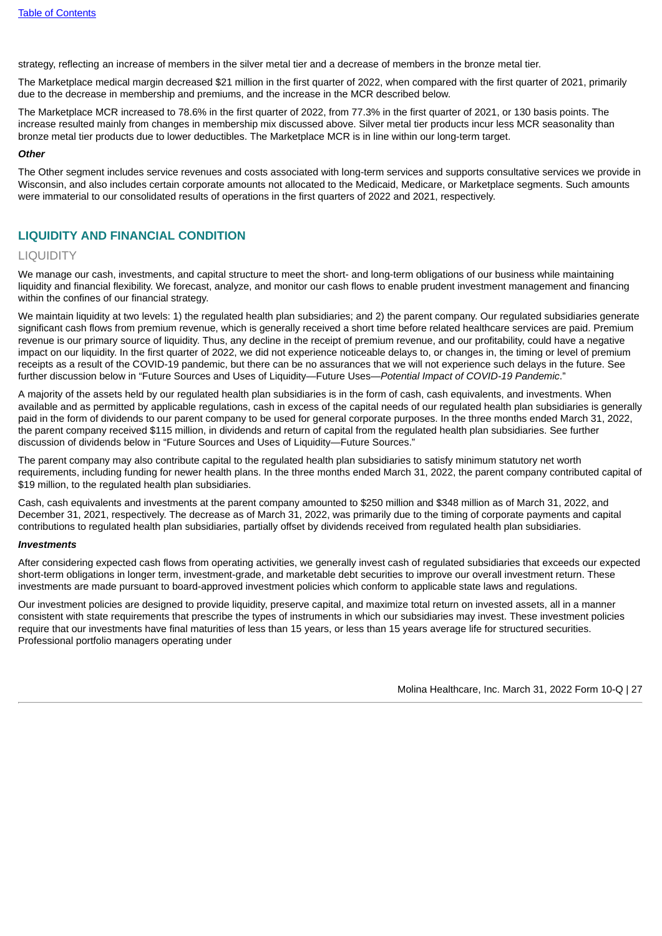strategy, reflecting an increase of members in the silver metal tier and a decrease of members in the bronze metal tier.

The Marketplace medical margin decreased \$21 million in the first quarter of 2022, when compared with the first quarter of 2021, primarily due to the decrease in membership and premiums, and the increase in the MCR described below.

The Marketplace MCR increased to 78.6% in the first quarter of 2022, from 77.3% in the first quarter of 2021, or 130 basis points. The increase resulted mainly from changes in membership mix discussed above. Silver metal tier products incur less MCR seasonality than bronze metal tier products due to lower deductibles. The Marketplace MCR is in line within our long-term target.

### *Other*

The Other segment includes service revenues and costs associated with long-term services and supports consultative services we provide in Wisconsin, and also includes certain corporate amounts not allocated to the Medicaid, Medicare, or Marketplace segments. Such amounts were immaterial to our consolidated results of operations in the first quarters of 2022 and 2021, respectively.

# **LIQUIDITY AND FINANCIAL CONDITION**

# **LIQUIDITY**

We manage our cash, investments, and capital structure to meet the short- and long-term obligations of our business while maintaining liquidity and financial flexibility. We forecast, analyze, and monitor our cash flows to enable prudent investment management and financing within the confines of our financial strategy.

We maintain liquidity at two levels: 1) the regulated health plan subsidiaries; and 2) the parent company. Our regulated subsidiaries generate significant cash flows from premium revenue, which is generally received a short time before related healthcare services are paid. Premium revenue is our primary source of liquidity. Thus, any decline in the receipt of premium revenue, and our profitability, could have a negative impact on our liquidity. In the first quarter of 2022, we did not experience noticeable delays to, or changes in, the timing or level of premium receipts as a result of the COVID-19 pandemic, but there can be no assurances that we will not experience such delays in the future. See further discussion below in "Future Sources and Uses of Liquidity—Future Uses—*Potential Impact of COVID-19 Pandemic*."

A majority of the assets held by our regulated health plan subsidiaries is in the form of cash, cash equivalents, and investments. When available and as permitted by applicable regulations, cash in excess of the capital needs of our regulated health plan subsidiaries is generally paid in the form of dividends to our parent company to be used for general corporate purposes. In the three months ended March 31, 2022, the parent company received \$115 million, in dividends and return of capital from the regulated health plan subsidiaries. See further discussion of dividends below in "Future Sources and Uses of Liquidity—Future Sources."

The parent company may also contribute capital to the regulated health plan subsidiaries to satisfy minimum statutory net worth requirements, including funding for newer health plans. In the three months ended March 31, 2022, the parent company contributed capital of \$19 million, to the regulated health plan subsidiaries.

Cash, cash equivalents and investments at the parent company amounted to \$250 million and \$348 million as of March 31, 2022, and December 31, 2021, respectively. The decrease as of March 31, 2022, was primarily due to the timing of corporate payments and capital contributions to regulated health plan subsidiaries, partially offset by dividends received from regulated health plan subsidiaries.

### *Investments*

After considering expected cash flows from operating activities, we generally invest cash of regulated subsidiaries that exceeds our expected short-term obligations in longer term, investment-grade, and marketable debt securities to improve our overall investment return. These investments are made pursuant to board-approved investment policies which conform to applicable state laws and regulations.

Our investment policies are designed to provide liquidity, preserve capital, and maximize total return on invested assets, all in a manner consistent with state requirements that prescribe the types of instruments in which our subsidiaries may invest. These investment policies require that our investments have final maturities of less than 15 years, or less than 15 years average life for structured securities. Professional portfolio managers operating under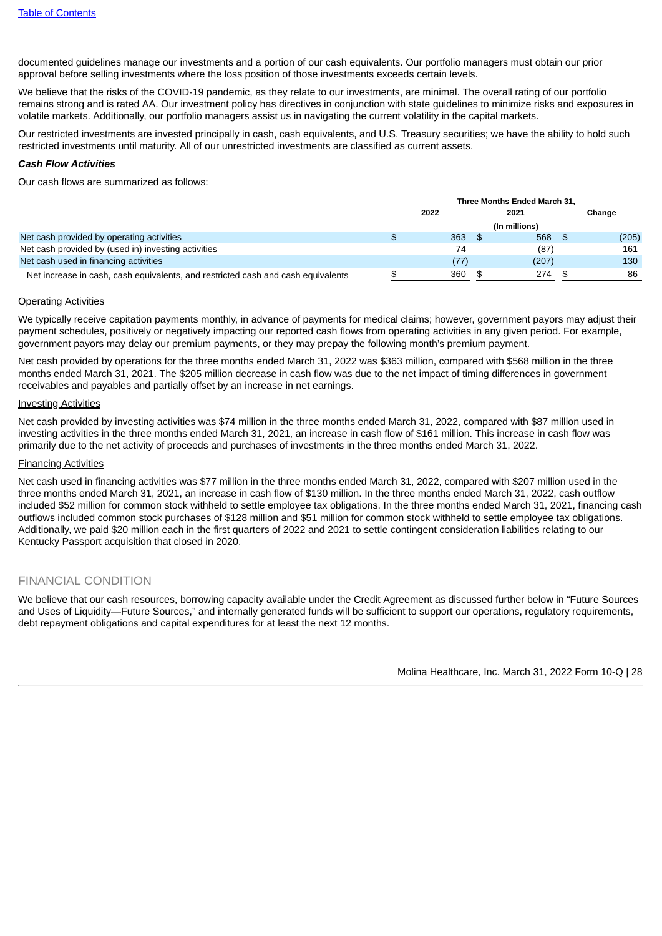documented guidelines manage our investments and a portion of our cash equivalents. Our portfolio managers must obtain our prior approval before selling investments where the loss position of those investments exceeds certain levels.

We believe that the risks of the COVID-19 pandemic, as they relate to our investments, are minimal. The overall rating of our portfolio remains strong and is rated AA. Our investment policy has directives in conjunction with state guidelines to minimize risks and exposures in volatile markets. Additionally, our portfolio managers assist us in navigating the current volatility in the capital markets.

Our restricted investments are invested principally in cash, cash equivalents, and U.S. Treasury securities; we have the ability to hold such restricted investments until maturity. All of our unrestricted investments are classified as current assets.

### *Cash Flow Activities*

Our cash flows are summarized as follows:

|                                                                                  | Three Months Ended March 31. |  |               |  |        |
|----------------------------------------------------------------------------------|------------------------------|--|---------------|--|--------|
|                                                                                  | 2022                         |  | 2021          |  | Change |
|                                                                                  |                              |  | (In millions) |  |        |
| Net cash provided by operating activities                                        | 363                          |  | 568           |  | (205)  |
| Net cash provided by (used in) investing activities                              | 74                           |  | (87)          |  | 161    |
| Net cash used in financing activities                                            | (77)                         |  | (207)         |  | 130    |
| Net increase in cash, cash equivalents, and restricted cash and cash equivalents | 360                          |  | 274           |  | 86     |

### Operating Activities

We typically receive capitation payments monthly, in advance of payments for medical claims; however, government payors may adjust their payment schedules, positively or negatively impacting our reported cash flows from operating activities in any given period. For example, government payors may delay our premium payments, or they may prepay the following month's premium payment.

Net cash provided by operations for the three months ended March 31, 2022 was \$363 million, compared with \$568 million in the three months ended March 31, 2021. The \$205 million decrease in cash flow was due to the net impact of timing differences in government receivables and payables and partially offset by an increase in net earnings.

#### Investing Activities

Net cash provided by investing activities was \$74 million in the three months ended March 31, 2022, compared with \$87 million used in investing activities in the three months ended March 31, 2021, an increase in cash flow of \$161 million. This increase in cash flow was primarily due to the net activity of proceeds and purchases of investments in the three months ended March 31, 2022.

#### Financing Activities

Net cash used in financing activities was \$77 million in the three months ended March 31, 2022, compared with \$207 million used in the three months ended March 31, 2021, an increase in cash flow of \$130 million. In the three months ended March 31, 2022, cash outflow included \$52 million for common stock withheld to settle employee tax obligations. In the three months ended March 31, 2021, financing cash outflows included common stock purchases of \$128 million and \$51 million for common stock withheld to settle employee tax obligations. Additionally, we paid \$20 million each in the first quarters of 2022 and 2021 to settle contingent consideration liabilities relating to our Kentucky Passport acquisition that closed in 2020.

# FINANCIAL CONDITION

We believe that our cash resources, borrowing capacity available under the Credit Agreement as discussed further below in "Future Sources and Uses of Liquidity—Future Sources," and internally generated funds will be sufficient to support our operations, regulatory requirements, debt repayment obligations and capital expenditures for at least the next 12 months.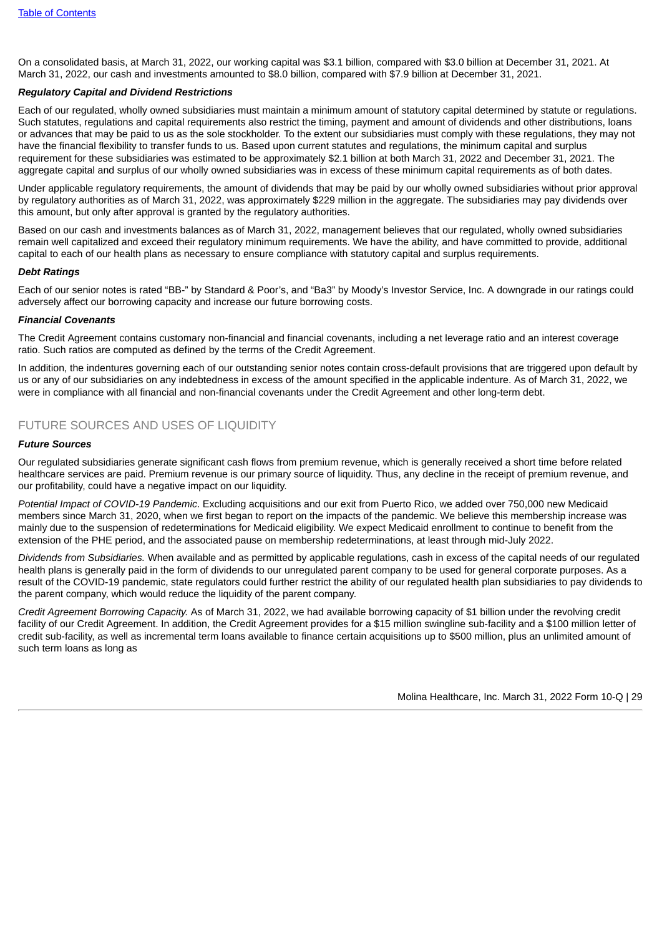On a consolidated basis, at March 31, 2022, our working capital was \$3.1 billion, compared with \$3.0 billion at December 31, 2021. At March 31, 2022, our cash and investments amounted to \$8.0 billion, compared with \$7.9 billion at December 31, 2021.

# *Regulatory Capital and Dividend Restrictions*

Each of our regulated, wholly owned subsidiaries must maintain a minimum amount of statutory capital determined by statute or regulations. Such statutes, regulations and capital requirements also restrict the timing, payment and amount of dividends and other distributions, loans or advances that may be paid to us as the sole stockholder. To the extent our subsidiaries must comply with these regulations, they may not have the financial flexibility to transfer funds to us. Based upon current statutes and regulations, the minimum capital and surplus requirement for these subsidiaries was estimated to be approximately \$2.1 billion at both March 31, 2022 and December 31, 2021. The aggregate capital and surplus of our wholly owned subsidiaries was in excess of these minimum capital requirements as of both dates.

Under applicable regulatory requirements, the amount of dividends that may be paid by our wholly owned subsidiaries without prior approval by regulatory authorities as of March 31, 2022, was approximately \$229 million in the aggregate. The subsidiaries may pay dividends over this amount, but only after approval is granted by the regulatory authorities.

Based on our cash and investments balances as of March 31, 2022, management believes that our regulated, wholly owned subsidiaries remain well capitalized and exceed their regulatory minimum requirements. We have the ability, and have committed to provide, additional capital to each of our health plans as necessary to ensure compliance with statutory capital and surplus requirements.

#### *Debt Ratings*

Each of our senior notes is rated "BB-" by Standard & Poor's, and "Ba3" by Moody's Investor Service, Inc. A downgrade in our ratings could adversely affect our borrowing capacity and increase our future borrowing costs.

#### *Financial Covenants*

The Credit Agreement contains customary non-financial and financial covenants, including a net leverage ratio and an interest coverage ratio. Such ratios are computed as defined by the terms of the Credit Agreement.

In addition, the indentures governing each of our outstanding senior notes contain cross-default provisions that are triggered upon default by us or any of our subsidiaries on any indebtedness in excess of the amount specified in the applicable indenture. As of March 31, 2022, we were in compliance with all financial and non-financial covenants under the Credit Agreement and other long-term debt.

# FUTURE SOURCES AND USES OF LIQUIDITY

#### *Future Sources*

Our regulated subsidiaries generate significant cash flows from premium revenue, which is generally received a short time before related healthcare services are paid. Premium revenue is our primary source of liquidity. Thus, any decline in the receipt of premium revenue, and our profitability, could have a negative impact on our liquidity.

*Potential Impact of COVID-19 Pandemic*. Excluding acquisitions and our exit from Puerto Rico, we added over 750,000 new Medicaid members since March 31, 2020, when we first began to report on the impacts of the pandemic. We believe this membership increase was mainly due to the suspension of redeterminations for Medicaid eligibility. We expect Medicaid enrollment to continue to benefit from the extension of the PHE period, and the associated pause on membership redeterminations, at least through mid-July 2022.

*Dividends from Subsidiaries.* When available and as permitted by applicable regulations, cash in excess of the capital needs of our regulated health plans is generally paid in the form of dividends to our unregulated parent company to be used for general corporate purposes. As a result of the COVID-19 pandemic, state regulators could further restrict the ability of our regulated health plan subsidiaries to pay dividends to the parent company, which would reduce the liquidity of the parent company.

*Credit Agreement Borrowing Capacity.* As of March 31, 2022, we had available borrowing capacity of \$1 billion under the revolving credit facility of our Credit Agreement. In addition, the Credit Agreement provides for a \$15 million swingline sub-facility and a \$100 million letter of credit sub-facility, as well as incremental term loans available to finance certain acquisitions up to \$500 million, plus an unlimited amount of such term loans as long as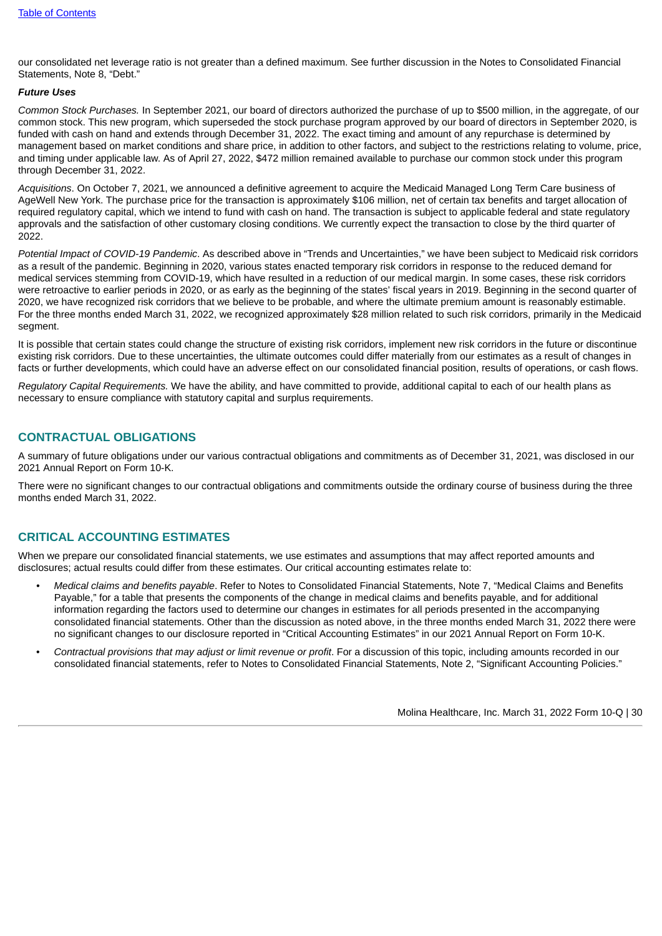our consolidated net leverage ratio is not greater than a defined maximum. See further discussion in the Notes to Consolidated Financial Statements, Note 8, "Debt."

### *Future Uses*

*Common Stock Purchases.* In September 2021, our board of directors authorized the purchase of up to \$500 million, in the aggregate, of our common stock. This new program, which superseded the stock purchase program approved by our board of directors in September 2020, is funded with cash on hand and extends through December 31, 2022. The exact timing and amount of any repurchase is determined by management based on market conditions and share price, in addition to other factors, and subject to the restrictions relating to volume, price, and timing under applicable law. As of April 27, 2022, \$472 million remained available to purchase our common stock under this program through December 31, 2022.

*Acquisitions*. On October 7, 2021, we announced a definitive agreement to acquire the Medicaid Managed Long Term Care business of AgeWell New York. The purchase price for the transaction is approximately \$106 million, net of certain tax benefits and target allocation of required regulatory capital, which we intend to fund with cash on hand. The transaction is subject to applicable federal and state regulatory approvals and the satisfaction of other customary closing conditions. We currently expect the transaction to close by the third quarter of 2022.

*Potential Impact of COVID-19 Pandemic*. As described above in "Trends and Uncertainties," we have been subject to Medicaid risk corridors as a result of the pandemic. Beginning in 2020, various states enacted temporary risk corridors in response to the reduced demand for medical services stemming from COVID-19, which have resulted in a reduction of our medical margin. In some cases, these risk corridors were retroactive to earlier periods in 2020, or as early as the beginning of the states' fiscal years in 2019. Beginning in the second quarter of 2020, we have recognized risk corridors that we believe to be probable, and where the ultimate premium amount is reasonably estimable. For the three months ended March 31, 2022, we recognized approximately \$28 million related to such risk corridors, primarily in the Medicaid segment.

It is possible that certain states could change the structure of existing risk corridors, implement new risk corridors in the future or discontinue existing risk corridors. Due to these uncertainties, the ultimate outcomes could differ materially from our estimates as a result of changes in facts or further developments, which could have an adverse effect on our consolidated financial position, results of operations, or cash flows.

*Regulatory Capital Requirements.* We have the ability, and have committed to provide, additional capital to each of our health plans as necessary to ensure compliance with statutory capital and surplus requirements.

# **CONTRACTUAL OBLIGATIONS**

A summary of future obligations under our various contractual obligations and commitments as of December 31, 2021, was disclosed in our 2021 Annual Report on Form 10-K.

There were no significant changes to our contractual obligations and commitments outside the ordinary course of business during the three months ended March 31, 2022.

# **CRITICAL ACCOUNTING ESTIMATES**

When we prepare our consolidated financial statements, we use estimates and assumptions that may affect reported amounts and disclosures; actual results could differ from these estimates. Our critical accounting estimates relate to:

- *• Medical claims and benefits payable*. Refer to Notes to Consolidated Financial Statements, Note 7, "Medical Claims and Benefits Payable," for a table that presents the components of the change in medical claims and benefits payable, and for additional information regarding the factors used to determine our changes in estimates for all periods presented in the accompanying consolidated financial statements. Other than the discussion as noted above, in the three months ended March 31, 2022 there were no significant changes to our disclosure reported in "Critical Accounting Estimates" in our 2021 Annual Report on Form 10-K.
- *Contractual provisions that may adjust or limit revenue or profit*. For a discussion of this topic, including amounts recorded in our consolidated financial statements, refer to Notes to Consolidated Financial Statements, Note 2, "Significant Accounting Policies."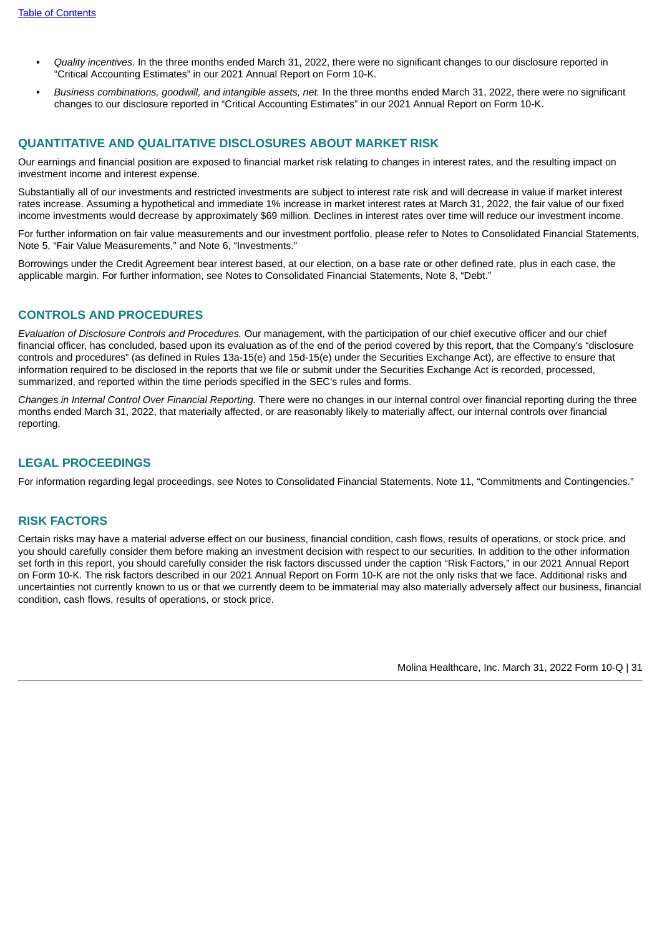- *• Quality incentives*. In the three months ended March 31, 2022, there were no significant changes to our disclosure reported in "Critical Accounting Estimates" in our 2021 Annual Report on Form 10-K.
- *• Business combinations, goodwill, and intangible assets, net.* In the three months ended March 31, 2022, there were no significant changes to our disclosure reported in "Critical Accounting Estimates" in our 2021 Annual Report on Form 10-K.

# <span id="page-30-0"></span>**QUANTITATIVE AND QUALITATIVE DISCLOSURES ABOUT MARKET RISK**

Our earnings and financial position are exposed to financial market risk relating to changes in interest rates, and the resulting impact on investment income and interest expense.

Substantially all of our investments and restricted investments are subject to interest rate risk and will decrease in value if market interest rates increase. Assuming a hypothetical and immediate 1% increase in market interest rates at March 31, 2022, the fair value of our fixed income investments would decrease by approximately \$69 million. Declines in interest rates over time will reduce our investment income.

For further information on fair value measurements and our investment portfolio, please refer to Notes to Consolidated Financial Statements, Note 5, "Fair Value Measurements," and Note 6, "Investments."

Borrowings under the Credit Agreement bear interest based, at our election, on a base rate or other defined rate, plus in each case, the applicable margin. For further information, see Notes to Consolidated Financial Statements, Note 8, "Debt."

# <span id="page-30-1"></span>**CONTROLS AND PROCEDURES**

*Evaluation of Disclosure Controls and Procedures.* Our management, with the participation of our chief executive officer and our chief financial officer, has concluded, based upon its evaluation as of the end of the period covered by this report, that the Company's "disclosure controls and procedures" (as defined in Rules 13a-15(e) and 15d-15(e) under the Securities Exchange Act), are effective to ensure that information required to be disclosed in the reports that we file or submit under the Securities Exchange Act is recorded, processed, summarized, and reported within the time periods specified in the SEC's rules and forms.

*Changes in Internal Control Over Financial Reporting.* There were no changes in our internal control over financial reporting during the three months ended March 31, 2022, that materially affected, or are reasonably likely to materially affect, our internal controls over financial reporting.

# <span id="page-30-2"></span>**LEGAL PROCEEDINGS**

For information regarding legal proceedings, see Notes to Consolidated Financial Statements, Note 11, "Commitments and Contingencies."

# <span id="page-30-3"></span>**RISK FACTORS**

<span id="page-30-4"></span>Certain risks may have a material adverse effect on our business, financial condition, cash flows, results of operations, or stock price, and you should carefully consider them before making an investment decision with respect to our securities. In addition to the other information set forth in this report, you should carefully consider the risk factors discussed under the caption "Risk Factors," in our 2021 Annual Report on Form 10-K. The risk factors described in our 2021 Annual Report on Form 10-K are not the only risks that we face. Additional risks and uncertainties not currently known to us or that we currently deem to be immaterial may also materially adversely affect our business, financial condition, cash flows, results of operations, or stock price.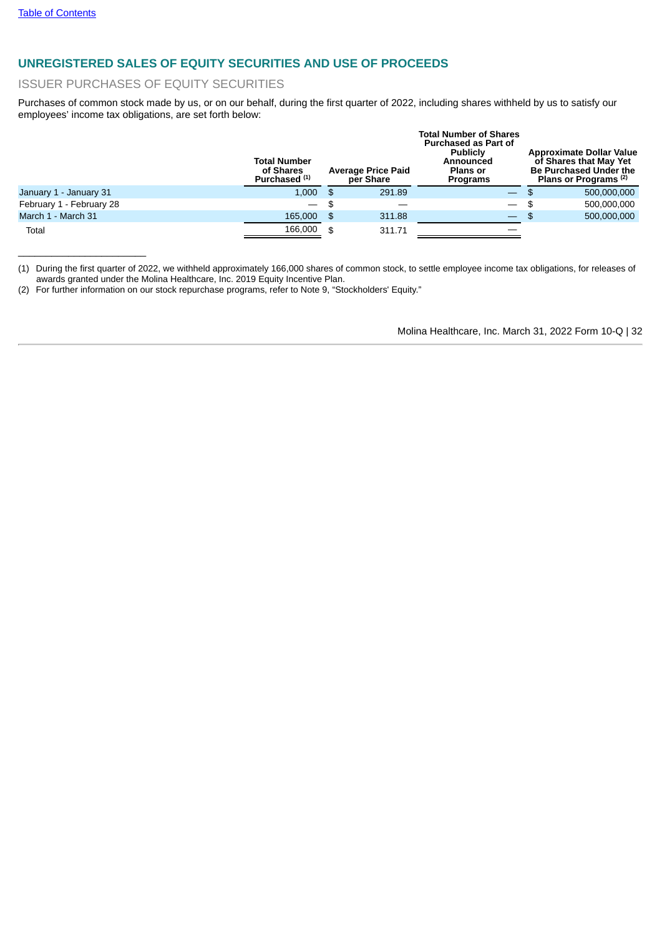$\overline{\phantom{a}}$  , where  $\overline{\phantom{a}}$  , where  $\overline{\phantom{a}}$  , where  $\overline{\phantom{a}}$ 

# **UNREGISTERED SALES OF EQUITY SECURITIES AND USE OF PROCEEDS**

## ISSUER PURCHASES OF EQUITY SECURITIES

Purchases of common stock made by us, or on our behalf, during the first quarter of 2022, including shares withheld by us to satisfy our employees' income tax obligations, are set forth below:

|                          | <b>Total Number</b><br>of Shares<br>Purchased <sup>(1)</sup> |      | <b>Average Price Paid</b><br>per Share | <b>Total Number of Shares</b><br><b>Purchased as Part of</b><br><b>Publicly</b><br>Announced<br><b>Plans or</b><br><b>Programs</b> |      | <b>Approximate Dollar Value</b><br>of Shares that May Yet<br><b>Be Purchased Under the</b><br>Plans or Programs <sup>(2)</sup> |
|--------------------------|--------------------------------------------------------------|------|----------------------------------------|------------------------------------------------------------------------------------------------------------------------------------|------|--------------------------------------------------------------------------------------------------------------------------------|
| January 1 - January 31   | 1.000                                                        | - \$ | 291.89                                 | $\overline{\phantom{a}}$                                                                                                           | - SS | 500,000,000                                                                                                                    |
| February 1 - February 28 | — \$                                                         |      |                                        | $\overline{\phantom{m}}$                                                                                                           | - \$ | 500.000.000                                                                                                                    |
| March 1 - March 31       | 165,000                                                      | - \$ | 311.88                                 | $\overline{\phantom{0}}$                                                                                                           | - \$ | 500,000,000                                                                                                                    |
| Total                    | 166,000                                                      | -\$  | 311.71                                 |                                                                                                                                    |      |                                                                                                                                |

(1) During the first quarter of 2022, we withheld approximately 166,000 shares of common stock, to settle employee income tax obligations, for releases of awards granted under the Molina Healthcare, Inc. 2019 Equity Incentive Plan.

<span id="page-31-0"></span>(2) For further information on our stock repurchase programs, refer to Note 9, "Stockholders' Equity."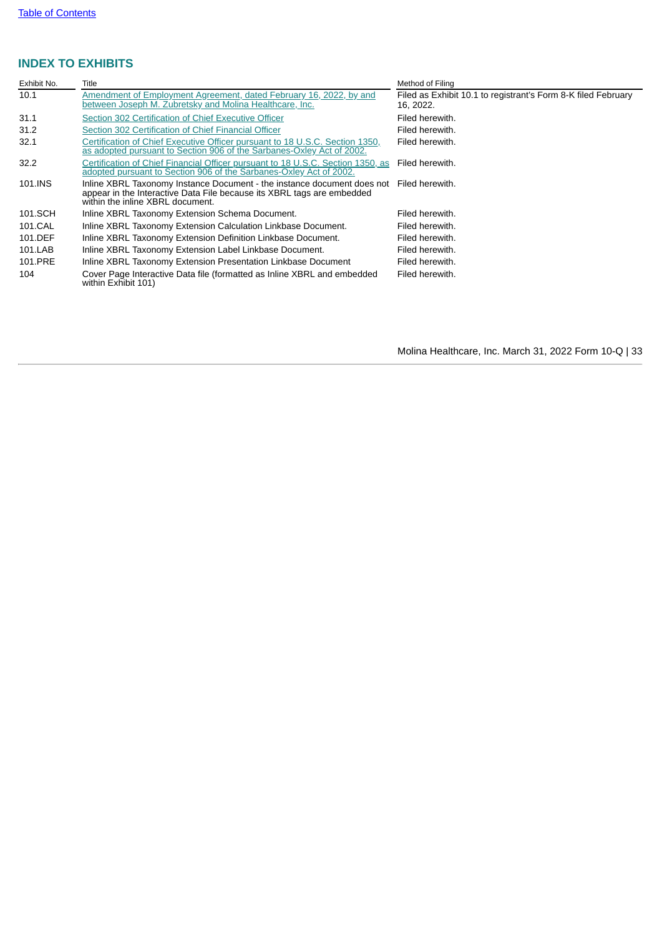# **INDEX TO EXHIBITS**

<span id="page-32-0"></span>

| Exhibit No. | Title                                                                                                                                                                                 | Method of Filing                                                           |
|-------------|---------------------------------------------------------------------------------------------------------------------------------------------------------------------------------------|----------------------------------------------------------------------------|
| 10.1        | Amendment of Employment Agreement, dated February 16, 2022, by and<br>between Joseph M. Zubretsky and Molina Healthcare, Inc.                                                         | Filed as Exhibit 10.1 to registrant's Form 8-K filed February<br>16, 2022. |
| 31.1        | Section 302 Certification of Chief Executive Officer                                                                                                                                  | Filed herewith.                                                            |
| 31.2        | Section 302 Certification of Chief Financial Officer                                                                                                                                  | Filed herewith.                                                            |
| 32.1        | Certification of Chief Executive Officer pursuant to 18 U.S.C. Section 1350,<br>as adopted pursuant to Section 906 of the Sarbanes-Oxley Act of 2002.                                 | Filed herewith.                                                            |
| 32.2        | Certification of Chief Financial Officer pursuant to 18 U.S.C. Section 1350, as<br>adopted pursuant to Section 906 of the Sarbanes-Oxley Act of 2002.                                 | Filed herewith.                                                            |
| 101.INS     | Inline XBRL Taxonomy Instance Document - the instance document does not<br>appear in the Interactive Data File because its XBRL tags are embedded<br>within the inline XBRL document. | Filed herewith.                                                            |
| 101.SCH     | Inline XBRL Taxonomy Extension Schema Document.                                                                                                                                       | Filed herewith.                                                            |
| 101.CAL     | Inline XBRL Taxonomy Extension Calculation Linkbase Document.                                                                                                                         | Filed herewith.                                                            |
| 101.DEF     | Inline XBRL Taxonomy Extension Definition Linkbase Document.                                                                                                                          | Filed herewith.                                                            |
| 101.LAB     | Inline XBRL Taxonomy Extension Label Linkbase Document.                                                                                                                               | Filed herewith.                                                            |
| 101.PRE     | Inline XBRL Taxonomy Extension Presentation Linkbase Document                                                                                                                         | Filed herewith.                                                            |
| 104         | Cover Page Interactive Data file (formatted as Inline XBRL and embedded<br>within Exhibit 101)                                                                                        | Filed herewith.                                                            |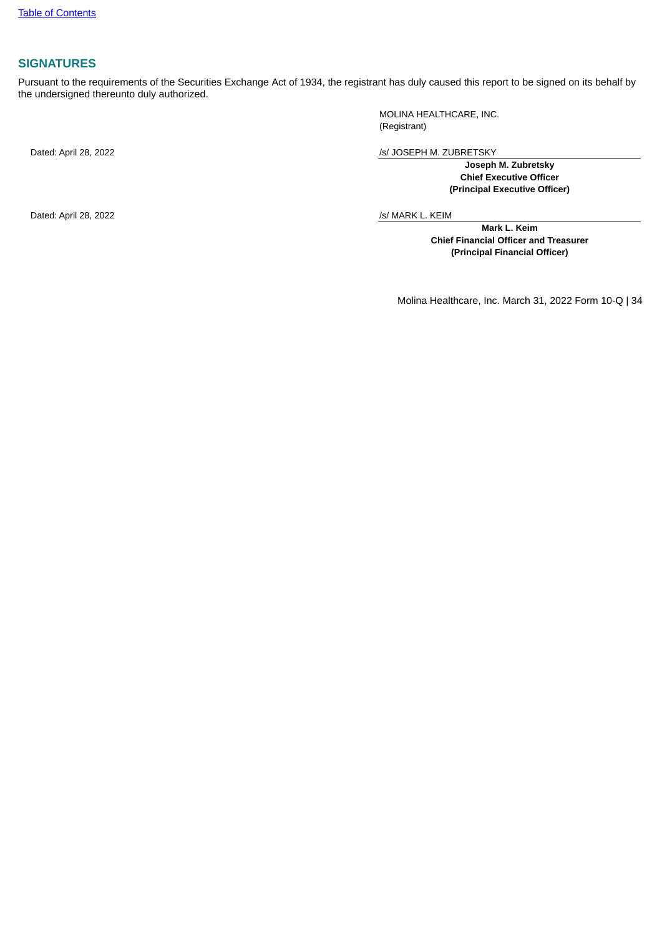# **SIGNATURES**

Pursuant to the requirements of the Securities Exchange Act of 1934, the registrant has duly caused this report to be signed on its behalf by the undersigned thereunto duly authorized.

MOLINA HEALTHCARE, INC. (Registrant)

Dated: April 28, 2022 /s/ JOSEPH M. ZUBRETSKY

**Joseph M. Zubretsky Chief Executive Officer (Principal Executive Officer)**

Dated: April 28, 2022 /s/ MARK L. KEIM

**Mark L. Keim Chief Financial Officer and Treasurer (Principal Financial Officer)**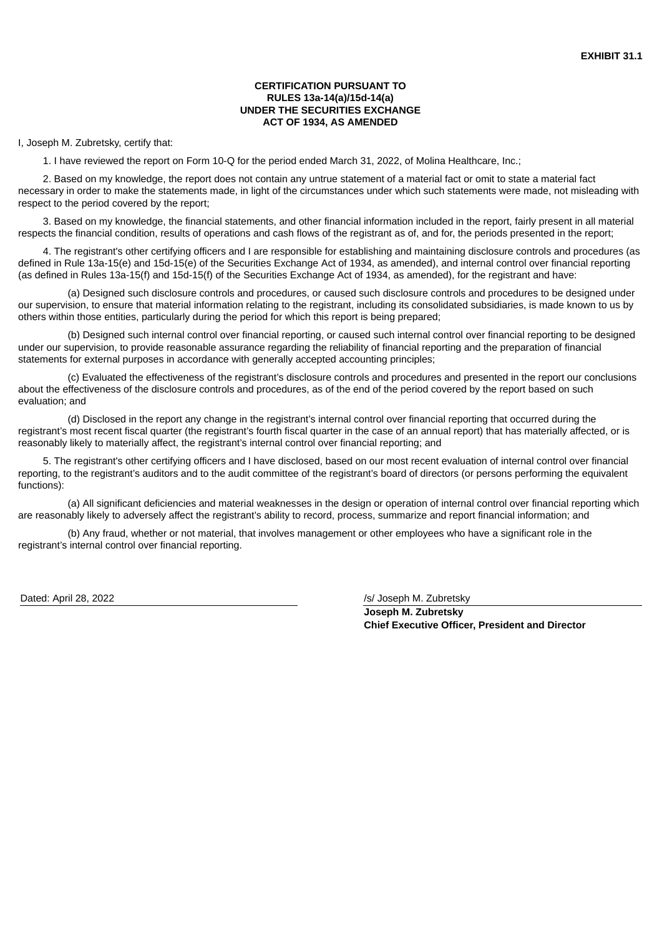## **CERTIFICATION PURSUANT TO RULES 13a-14(a)/15d-14(a) UNDER THE SECURITIES EXCHANGE ACT OF 1934, AS AMENDED**

<span id="page-34-0"></span>I, Joseph M. Zubretsky, certify that:

1. I have reviewed the report on Form 10-Q for the period ended March 31, 2022, of Molina Healthcare, Inc.;

2. Based on my knowledge, the report does not contain any untrue statement of a material fact or omit to state a material fact necessary in order to make the statements made, in light of the circumstances under which such statements were made, not misleading with respect to the period covered by the report;

3. Based on my knowledge, the financial statements, and other financial information included in the report, fairly present in all material respects the financial condition, results of operations and cash flows of the registrant as of, and for, the periods presented in the report;

4. The registrant's other certifying officers and I are responsible for establishing and maintaining disclosure controls and procedures (as defined in Rule 13a-15(e) and 15d-15(e) of the Securities Exchange Act of 1934, as amended), and internal control over financial reporting (as defined in Rules 13a-15(f) and 15d-15(f) of the Securities Exchange Act of 1934, as amended), for the registrant and have:

(a) Designed such disclosure controls and procedures, or caused such disclosure controls and procedures to be designed under our supervision, to ensure that material information relating to the registrant, including its consolidated subsidiaries, is made known to us by others within those entities, particularly during the period for which this report is being prepared;

(b) Designed such internal control over financial reporting, or caused such internal control over financial reporting to be designed under our supervision, to provide reasonable assurance regarding the reliability of financial reporting and the preparation of financial statements for external purposes in accordance with generally accepted accounting principles;

(c) Evaluated the effectiveness of the registrant's disclosure controls and procedures and presented in the report our conclusions about the effectiveness of the disclosure controls and procedures, as of the end of the period covered by the report based on such evaluation; and

(d) Disclosed in the report any change in the registrant's internal control over financial reporting that occurred during the registrant's most recent fiscal quarter (the registrant's fourth fiscal quarter in the case of an annual report) that has materially affected, or is reasonably likely to materially affect, the registrant's internal control over financial reporting; and

5. The registrant's other certifying officers and I have disclosed, based on our most recent evaluation of internal control over financial reporting, to the registrant's auditors and to the audit committee of the registrant's board of directors (or persons performing the equivalent functions):

(a) All significant deficiencies and material weaknesses in the design or operation of internal control over financial reporting which are reasonably likely to adversely affect the registrant's ability to record, process, summarize and report financial information; and

(b) Any fraud, whether or not material, that involves management or other employees who have a significant role in the registrant's internal control over financial reporting.

Dated: April 28, 2022 *Dated: April 28, 2022 Islamic Legislation Islamic Islamic Islamic Islamic Islamic Islamic Islamic Islamic Islamic Islamic Islamic Islamic Islamic Islamic Islamic Islamic Islamic Islamic Islamic* 

**Joseph M. Zubretsky Chief Executive Officer, President and Director**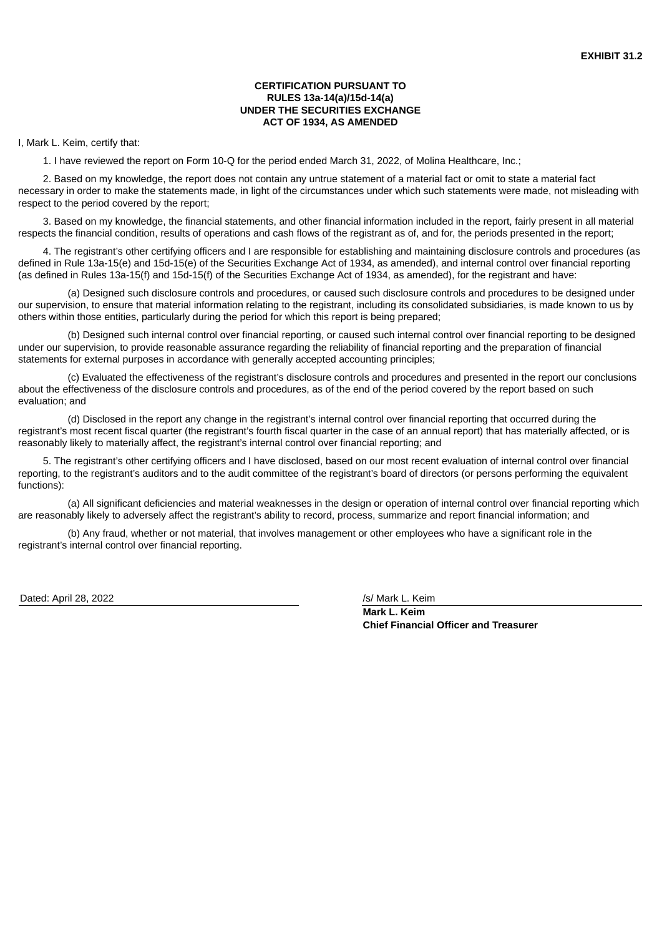## **CERTIFICATION PURSUANT TO RULES 13a-14(a)/15d-14(a) UNDER THE SECURITIES EXCHANGE ACT OF 1934, AS AMENDED**

<span id="page-35-0"></span>I, Mark L. Keim, certify that:

1. I have reviewed the report on Form 10-Q for the period ended March 31, 2022, of Molina Healthcare, Inc.;

2. Based on my knowledge, the report does not contain any untrue statement of a material fact or omit to state a material fact necessary in order to make the statements made, in light of the circumstances under which such statements were made, not misleading with respect to the period covered by the report;

3. Based on my knowledge, the financial statements, and other financial information included in the report, fairly present in all material respects the financial condition, results of operations and cash flows of the registrant as of, and for, the periods presented in the report;

4. The registrant's other certifying officers and I are responsible for establishing and maintaining disclosure controls and procedures (as defined in Rule 13a-15(e) and 15d-15(e) of the Securities Exchange Act of 1934, as amended), and internal control over financial reporting (as defined in Rules 13a-15(f) and 15d-15(f) of the Securities Exchange Act of 1934, as amended), for the registrant and have:

(a) Designed such disclosure controls and procedures, or caused such disclosure controls and procedures to be designed under our supervision, to ensure that material information relating to the registrant, including its consolidated subsidiaries, is made known to us by others within those entities, particularly during the period for which this report is being prepared;

(b) Designed such internal control over financial reporting, or caused such internal control over financial reporting to be designed under our supervision, to provide reasonable assurance regarding the reliability of financial reporting and the preparation of financial statements for external purposes in accordance with generally accepted accounting principles;

(c) Evaluated the effectiveness of the registrant's disclosure controls and procedures and presented in the report our conclusions about the effectiveness of the disclosure controls and procedures, as of the end of the period covered by the report based on such evaluation; and

(d) Disclosed in the report any change in the registrant's internal control over financial reporting that occurred during the registrant's most recent fiscal quarter (the registrant's fourth fiscal quarter in the case of an annual report) that has materially affected, or is reasonably likely to materially affect, the registrant's internal control over financial reporting; and

5. The registrant's other certifying officers and I have disclosed, based on our most recent evaluation of internal control over financial reporting, to the registrant's auditors and to the audit committee of the registrant's board of directors (or persons performing the equivalent functions):

(a) All significant deficiencies and material weaknesses in the design or operation of internal control over financial reporting which are reasonably likely to adversely affect the registrant's ability to record, process, summarize and report financial information; and

(b) Any fraud, whether or not material, that involves management or other employees who have a significant role in the registrant's internal control over financial reporting.

Dated: April 28, 2022 *Dated: April 28, 2022 Islamic L. Keim* 

**Mark L. Keim Chief Financial Officer and Treasurer**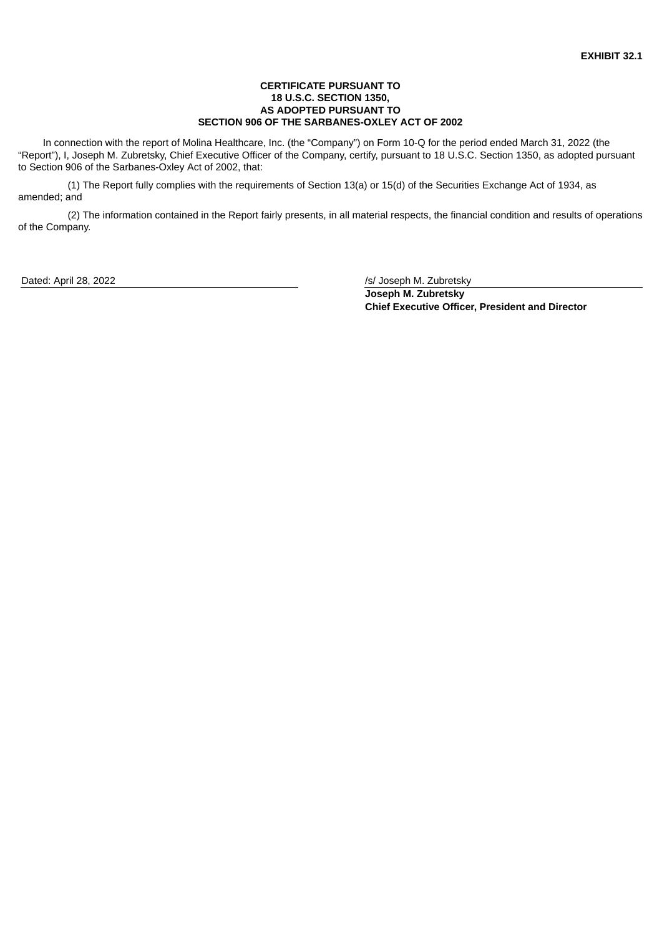### **CERTIFICATE PURSUANT TO 18 U.S.C. SECTION 1350, AS ADOPTED PURSUANT TO SECTION 906 OF THE SARBANES-OXLEY ACT OF 2002**

<span id="page-36-0"></span>In connection with the report of Molina Healthcare, Inc. (the "Company") on Form 10-Q for the period ended March 31, 2022 (the "Report"), I, Joseph M. Zubretsky, Chief Executive Officer of the Company, certify, pursuant to 18 U.S.C. Section 1350, as adopted pursuant to Section 906 of the Sarbanes-Oxley Act of 2002, that:

(1) The Report fully complies with the requirements of Section 13(a) or 15(d) of the Securities Exchange Act of 1934, as amended; and

(2) The information contained in the Report fairly presents, in all material respects, the financial condition and results of operations of the Company.

Dated: April 28, 2022 /s/ Joseph M. Zubretsky

**Joseph M. Zubretsky Chief Executive Officer, President and Director**